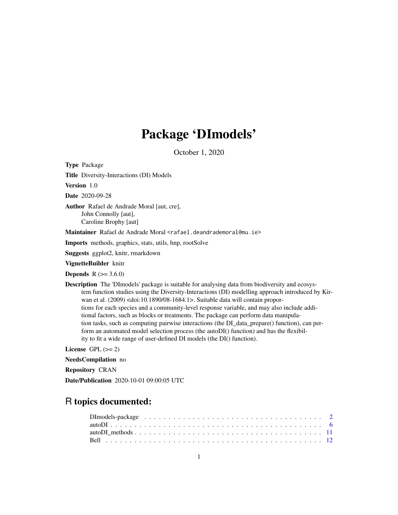# Package 'DImodels'

October 1, 2020

<span id="page-0-0"></span>Type Package

Title Diversity-Interactions (DI) Models

Version 1.0

Date 2020-09-28

Author Rafael de Andrade Moral [aut, cre], John Connolly [aut], Caroline Brophy [aut]

Maintainer Rafael de Andrade Moral <rafael.deandrademoral@mu.ie>

Imports methods, graphics, stats, utils, hnp, rootSolve

Suggests ggplot2, knitr, rmarkdown

VignetteBuilder knitr

**Depends**  $R$  ( $> = 3.6.0$ )

Description The 'DImodels' package is suitable for analysing data from biodiversity and ecosystem function studies using the Diversity-Interactions (DI) modelling approach introduced by Kirwan et al. (2009) <doi:10.1890/08-1684.1>. Suitable data will contain proportions for each species and a community-level response variable, and may also include additional factors, such as blocks or treatments. The package can perform data manipulation tasks, such as computing pairwise interactions (the DI\_data\_prepare() function), can perform an automated model selection process (the autoDI() function) and has the flexibility to fit a wide range of user-defined DI models (the DI() function).

License GPL  $(>= 2)$ 

NeedsCompilation no

Repository CRAN

Date/Publication 2020-10-01 09:00:05 UTC

## R topics documented: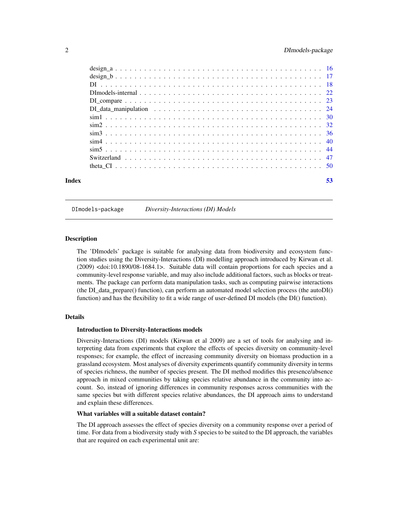<span id="page-1-0"></span>

|       | DI data manipulation $\ldots \ldots \ldots \ldots \ldots \ldots \ldots \ldots \ldots \ldots \ldots \ldots$ |    |
|-------|------------------------------------------------------------------------------------------------------------|----|
|       |                                                                                                            |    |
|       |                                                                                                            |    |
|       |                                                                                                            |    |
|       |                                                                                                            |    |
|       |                                                                                                            |    |
|       |                                                                                                            |    |
|       |                                                                                                            |    |
| Index |                                                                                                            | 53 |

DImodels-package *Diversity-Interactions (DI) Models*

### <span id="page-1-1"></span>Description

The 'DImodels' package is suitable for analysing data from biodiversity and ecosystem function studies using the Diversity-Interactions (DI) modelling approach introduced by Kirwan et al. (2009) <doi:10.1890/08-1684.1>. Suitable data will contain proportions for each species and a community-level response variable, and may also include additional factors, such as blocks or treatments. The package can perform data manipulation tasks, such as computing pairwise interactions (the DI\_data\_prepare() function), can perform an automated model selection process (the autoDI() function) and has the flexibility to fit a wide range of user-defined DI models (the DI() function).

### Details

### Introduction to Diversity-Interactions models

Diversity-Interactions (DI) models (Kirwan et al 2009) are a set of tools for analysing and interpreting data from experiments that explore the effects of species diversity on community-level responses; for example, the effect of increasing community diversity on biomass production in a grassland ecosystem. Most analyses of diversity experiments quantify community diversity in terms of species richness, the number of species present. The DI method modifies this presence/absence approach in mixed communities by taking species relative abundance in the community into account. So, instead of ignoring differences in community responses across communities with the same species but with different species relative abundances, the DI approach aims to understand and explain these differences.

### What variables will a suitable dataset contain?

The DI approach assesses the effect of species diversity on a community response over a period of time. For data from a biodiversity study with *S* species to be suited to the DI approach, the variables that are required on each experimental unit are: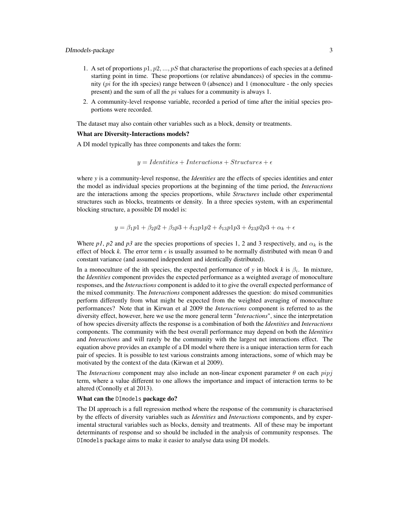- 1. A set of proportions  $p_1, p_2, ..., p_s$  that characterise the proportions of each species at a defined starting point in time. These proportions (or relative abundances) of species in the community ( $pi$  for the ith species) range between 0 (absence) and 1 (monoculture - the only species present) and the sum of all the pi values for a community is always 1.
- 2. A community-level response variable, recorded a period of time after the initial species proportions were recorded.

The dataset may also contain other variables such as a block, density or treatments.

### What are Diversity-Interactions models?

A DI model typically has three components and takes the form:

$$
y = Identities + Interactions + Structures + \epsilon
$$

where *y* is a community-level response, the *Identities* are the effects of species identities and enter the model as individual species proportions at the beginning of the time period, the *Interactions* are the interactions among the species proportions, while *Structures* include other experimental structures such as blocks, treatments or density. In a three species system, with an experimental blocking structure, a possible DI model is:

$$
y = \beta_1 p_1 + \beta_2 p_2 + \beta_3 p_3 + \delta_{12} p_1 p_2 + \delta_{13} p_1 p_3 + \delta_{23} p_2 p_3 + \alpha_k + \epsilon
$$

Where *p1*, *p2* and *p3* are the species proportions of species 1, 2 and 3 respectively, and  $\alpha_k$  is the effect of block k. The error term  $\epsilon$  is usually assumed to be normally distributed with mean 0 and constant variance (and assumed independent and identically distributed).

In a monoculture of the ith species, the expected performance of *y* in block  $k$  is  $\beta_i$ . In mixture, the *Identities* component provides the expected performance as a weighted average of monoculture responses, and the *Interactions* component is added to it to give the overall expected performance of the mixed community. The *Interactions* component addresses the question: do mixed communities perform differently from what might be expected from the weighted averaging of monoculture performances? Note that in Kirwan et al 2009 the *Interactions* component is referred to as the diversity effect, however, here we use the more general term "*Interactions*", since the interpretation of how species diversity affects the response is a combination of both the *Identities* and *Interactions* components. The community with the best overall performance may depend on both the *Identities* and *Interactions* and will rarely be the community with the largest net interactions effect. The equation above provides an example of a DI model where there is a unique interaction term for each pair of species. It is possible to test various constraints among interactions, some of which may be motivated by the context of the data (Kirwan et al 2009).

The *Interactions* component may also include an non-linear exponent parameter  $\theta$  on each  $pipj$ term, where a value different to one allows the importance and impact of interaction terms to be altered (Connolly et al 2013).

### What can the DImodels package do?

The DI approach is a full regression method where the response of the community is characterised by the effects of diversity variables such as *Identities* and *Interactions* components, and by experimental structural variables such as blocks, density and treatments. All of these may be important determinants of response and so should be included in the analysis of community responses. The DImodels package aims to make it easier to analyse data using DI models.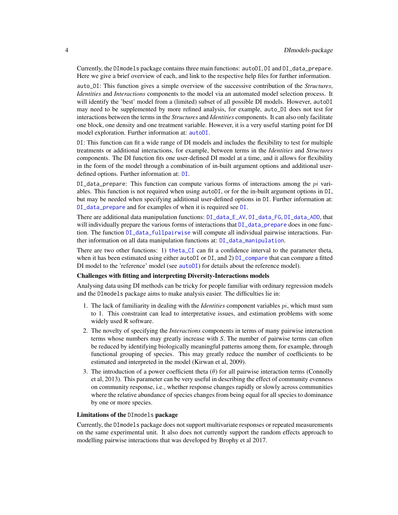<span id="page-3-0"></span>Currently, the DImodels package contains three main functions: autoDI, DI and DI\_data\_prepare. Here we give a brief overview of each, and link to the respective help files for further information.

auto\_DI: This function gives a simple overview of the successive contribution of the *Structures*, *Identities* and *Interactions* components to the model via an automated model selection process. It will identify the 'best' model from a (limited) subset of all possible DI models. However, autoDI may need to be supplemented by more refined analysis, for example, auto\_DI does not test for interactions between the terms in the *Structures* and *Identities* components. It can also only facilitate one block, one density and one treatment variable. However, it is a very useful starting point for DI model exploration. Further information at: [autoDI](#page-5-1).

DI: This function can fit a wide range of DI models and includes the flexibility to test for multiple treatments or additional interactions, for example, between terms in the *Identities* and *Structures* components. The DI function fits one user-defined DI model at a time, and it allows for flexibility in the form of the model through a combination of in-built argument options and additional userdefined options. Further information at: [DI](#page-17-1).

DI\_data\_prepare: This function can compute various forms of interactions among the  $pi$  variables. This function is not required when using autoDI, or for the in-built argument options in DI, but may be needed when specifying additional user-defined options in DI. Further information at: [DI\\_data\\_prepare](#page-23-1) and for examples of when it is required see [DI](#page-17-1).

There are additional data manipulation functions: [DI\\_data\\_E\\_AV](#page-23-1), [DI\\_data\\_FG](#page-23-1), [DI\\_data\\_ADD](#page-23-1), that will individually prepare the various forms of interactions that  $DI\_data\_prepare$  does in one function. The function [DI\\_data\\_fullpairwise](#page-23-1) will compute all individual pairwise interactions. Further information on all data manipulation functions at: [DI\\_data\\_manipulation](#page-23-2).

There are two other functions: 1) [theta\\_CI](#page-49-1) can fit a confidence interval to the parameter theta, when it has been estimated using either autoDI or DI, and 2) [DI\\_compare](#page-22-1) that can compare a fitted DI model to the 'reference' model (see [autoDI](#page-5-1)) for details about the reference model).

### Challenges with fitting and interpreting Diversity-Interactions models

Analysing data using DI methods can be tricky for people familiar with ordinary regression models and the DImodels package aims to make analysis easier. The difficulties lie in:

- 1. The lack of familiarity in dealing with the *Identities* component variables pi, which must sum to 1. This constraint can lead to interpretative issues, and estimation problems with some widely used R software.
- 2. The novelty of specifying the *Interactions* components in terms of many pairwise interaction terms whose numbers may greatly increase with *S*. The number of pairwise terms can often be reduced by identifying biologically meaningful patterns among them, for example, through functional grouping of species. This may greatly reduce the number of coefficients to be estimated and interpreted in the model (Kirwan et al, 2009).
- 3. The introduction of a power coefficient theta  $(\theta)$  for all pairwise interaction terms (Connolly et al, 2013). This parameter can be very useful in describing the effect of community evenness on community response, i.e., whether response changes rapidly or slowly across communities where the relative abundance of species changes from being equal for all species to dominance by one or more species.

### Limitations of the DImodels package

Currently, the DImodels package does not support multivariate responses or repeated measurements on the same experimental unit. It also does not currently support the random effects approach to modelling pairwise interactions that was developed by Brophy et al 2017.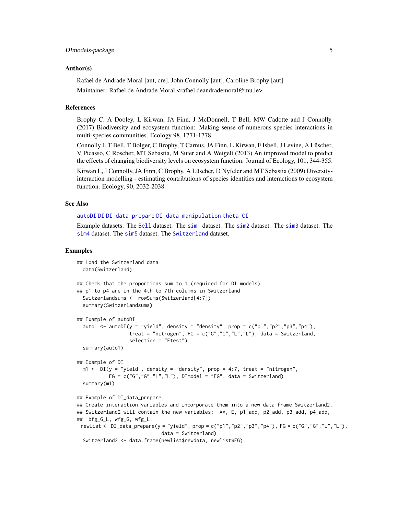### <span id="page-4-0"></span>Author(s)

Rafael de Andrade Moral [aut, cre], John Connolly [aut], Caroline Brophy [aut] Maintainer: Rafael de Andrade Moral <rafael.deandrademoral@mu.ie>

### References

Brophy C, A Dooley, L Kirwan, JA Finn, J McDonnell, T Bell, MW Cadotte and J Connolly. (2017) Biodiversity and ecosystem function: Making sense of numerous species interactions in multi-species communities. Ecology 98, 1771-1778.

Connolly J, T Bell, T Bolger, C Brophy, T Carnus, JA Finn, L Kirwan, F Isbell, J Levine, A Lüscher, V Picasso, C Roscher, MT Sebastia, M Suter and A Weigelt (2013) An improved model to predict the effects of changing biodiversity levels on ecosystem function. Journal of Ecology, 101, 344-355.

Kirwan L, J Connolly, JA Finn, C Brophy, A Lüscher, D Nyfeler and MT Sebastia (2009) Diversityinteraction modelling - estimating contributions of species identities and interactions to ecosystem function. Ecology, 90, 2032-2038.

### See Also

### [autoDI](#page-5-1) [DI](#page-17-1) [DI\\_data\\_prepare](#page-23-1) [DI\\_data\\_manipulation](#page-23-2) [theta\\_CI](#page-49-1)

Example datasets: The [Bell](#page-11-1) dataset. The [sim1](#page-29-1) dataset. The [sim2](#page-31-1) dataset. The [sim3](#page-35-1) dataset. The [sim4](#page-39-1) dataset. The [sim5](#page-43-1) dataset. The [Switzerland](#page-46-1) dataset.

### Examples

```
## Load the Switzerland data
 data(Switzerland)
## Check that the proportions sum to 1 (required for DI models)
## p1 to p4 are in the 4th to 7th columns in Switzerland
 Switzerlandsums <- rowSums(Switzerland[4:7])
 summary(Switzerlandsums)
## Example of autoDI
 auto1 <- autoDI(y ="yield", density = "density", prop = c("p1","p2","p3","p4"),
                  treat = "nitrogen", FG = c("G", "G", "L", "L"), data = Switzerland,
                  selection = "Ftest")
 summary(auto1)
## Example of DI
 m1 <- DI(y = "yield", density = "density", prop = 4:7, treat = "nitrogen",
          FG = c("G", "G", "L", "L"), DImodel = "FG", data = Switzerland)summary(m1)
## Example of DI_data_prepare.
## Create interaction variables and incorporate them into a new data frame Switzerland2.
## Switzerland2 will contain the new variables: AV, E, p1_add, p2_add, p3_add, p4_add,
## bfg_G_L, wfg_G, wfg_L.
newlist <- DI_data_prepare(y = "yield", prop = c("p1","p2","p3","p4"), FG = c("G","G","L","L"),
                             data = Switzerland)
 Switzerland2 <- data.frame(newlist$newdata, newlist$FG)
```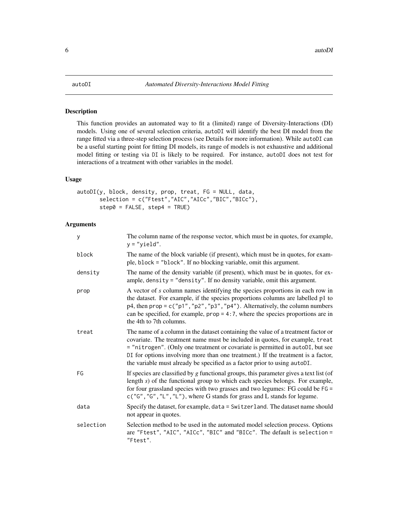### <span id="page-5-1"></span><span id="page-5-0"></span>Description

This function provides an automated way to fit a (limited) range of Diversity-Interactions (DI) models. Using one of several selection criteria, autoDI will identify the best DI model from the range fitted via a three-step selection process (see Details for more information). While autoDI can be a useful starting point for fitting DI models, its range of models is not exhaustive and additional model fitting or testing via DI is likely to be required. For instance, autoDI does not test for interactions of a treatment with other variables in the model.

### Usage

```
autoDI(y, block, density, prop, treat, FG = NULL, data,
      selection = c("Ftest","AIC","AICc","BIC","BICc"),
      step0 = FALSE, step4 = TRUE)
```
### Arguments

| У         | The column name of the response vector, which must be in quotes, for example,<br>$y = "yield".$                                                                                                                                                                                                                                                                                                                      |
|-----------|----------------------------------------------------------------------------------------------------------------------------------------------------------------------------------------------------------------------------------------------------------------------------------------------------------------------------------------------------------------------------------------------------------------------|
| block     | The name of the block variable (if present), which must be in quotes, for exam-<br>ple, block = "block". If no blocking variable, omit this argument.                                                                                                                                                                                                                                                                |
| density   | The name of the density variable (if present), which must be in quotes, for ex-<br>ample, density = "density". If no density variable, omit this argument.                                                                                                                                                                                                                                                           |
| prop      | A vector of s column names identifying the species proportions in each row in<br>the dataset. For example, if the species proportions columns are labelled p1 to<br>$p4$ , then $prop = c("p1", "p2", "p3", "p4")$ . Alternatively, the column numbers<br>can be specified, for example, $prop = 4:7$ , where the species proportions are in<br>the 4th to 7th columns.                                              |
| treat     | The name of a column in the dataset containing the value of a treatment factor or<br>covariate. The treatment name must be included in quotes, for example, treat<br>= "nitrogen". (Only one treatment or covariate is permitted in autoDI, but see<br>DI for options involving more than one treatment.) If the treatment is a factor,<br>the variable must already be specified as a factor prior to using autoDI. |
| FG        | If species are classified by $g$ functional groups, this parameter gives a text list (of<br>length $s$ ) of the functional group to which each species belongs. For example,<br>for four grassland species with two grasses and two legumes: FG could be FG =<br>$c("G", "G", "L", "L"),$ where G stands for grass and L stands for legume.                                                                          |
| data      | Specify the dataset, for example, data = Switzerland. The dataset name should<br>not appear in quotes.                                                                                                                                                                                                                                                                                                               |
| selection | Selection method to be used in the automated model selection process. Options<br>are "Ftest", "AIC", "AICc", "BIC" and "BICc". The default is selection =<br>"Ftest".                                                                                                                                                                                                                                                |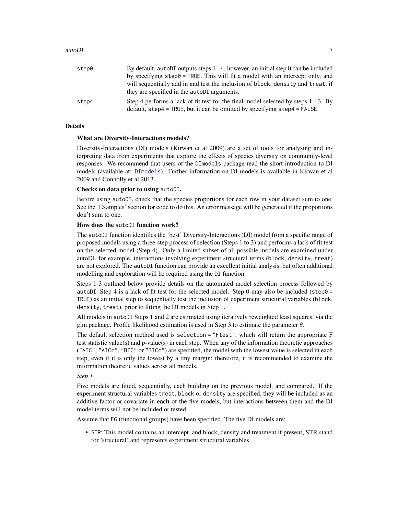### <span id="page-6-0"></span>autoDI 7 autoDI 7 autoDi

| step0 | By default, autobl outputs steps $1 - 4$ , however, an initial step 0 can be included |
|-------|---------------------------------------------------------------------------------------|
|       | by specifying step0 = TRUE. This will fit a model with an intercept only, and         |
|       | will sequentially add in and test the inclusion of block, density and treat, if       |
|       | they are specified in the autoDI arguments.                                           |
| step4 | Step 4 performs a lack of fit test for the final model selected by steps 1 - 3. By    |
|       | default, step4 = TRUE, but it can be omitted by specifying step4 = FALSE.             |

### Details

### What are Diversity-Interactions models?

Diversity-Interactions (DI) models (Kirwan et al 2009) are a set of tools for analysing and interpreting data from experiments that explore the effects of species diversity on community-level responses. We recommend that users of the DImodels package read the short introduction to DI models (available at: [DImodels](#page-1-1)). Further information on DI models is available in Kirwan et al 2009 and Connolly et al 2013.

### Checks on data prior to using autoDI.

Before using autoDI, check that the species proportions for each row in your dataset sum to one. See the 'Examples' section for code to do this. An error message will be generated if the proportions don't sum to one.

### How does the autoDI function work?

The autoDI function identifies the 'best' Diversity-Interactions (DI) model from a specific range of proposed models using a three-step process of selection (Steps 1 to 3) and performs a lack of fit test on the selected model (Step 4). Only a limited subset of all possible models are examined under autoDI, for example, interactions involving experiment structural terms (block, density, treat) are not explored. The autoDI function can provide an excellent initial analysis, but often additional modelling and exploration will be required using the DI function.

Steps 1-3 outlined below provide details on the automated model selection process followed by autoDI. Step 4 is a lack of fit test for the selected model. Step 0 may also be included (step0 = TRUE) as an initial step to sequentially test the inclusion of experiment structural variables (block, density, treat), prior to fitting the DI models in Step 1.

All models in autoDI Steps 1 and 2 are estimated using iteratively reweighted least squares, via the glm package. Profile likelihood estimation is used in Step 3 to estimate the parameter  $\theta$ .

The default selection method used is selection = "Ftest", which will return the appropriate F test statistic value(s) and p-value(s) in each step. When any of the information theoretic approaches ("AIC", "AICc", "BIC" or "BICc") are specified, the model with the lowest value is selected in each step, even if it is only the lowest by a tiny margin; therefore, it is recommended to examine the information theoretic values across all models.

### *Step 1*

Five models are fitted, sequentially, each building on the previous model, and compared. If the experiment structural variables treat, block or density are specified, they will be included as an additive factor or covariate in **each** of the five models, but interactions between them and the DI model terms will not be included or tested.

Assume that FG (functional groups) have been specified. The five DI models are:

• STR: This model contains an intercept, and block, density and treatment if present; STR stand for 'structural' and represents experiment structural variables.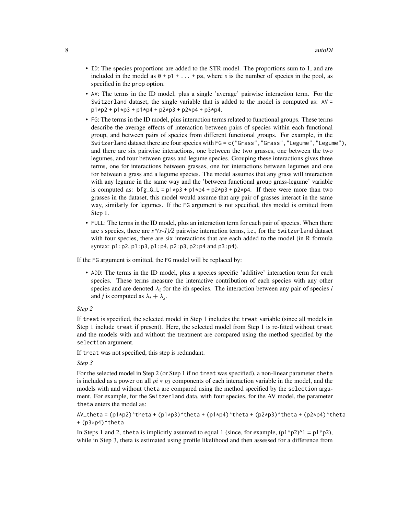- ID: The species proportions are added to the STR model. The proportions sum to 1, and are included in the model as  $\theta$  + p1 + ... + ps, where *s* is the number of species in the pool, as specified in the prop option.
- AV: The terms in the ID model, plus a single 'average' pairwise interaction term. For the Switzerland dataset, the single variable that is added to the model is computed as:  $AV =$  $p1*p2 + p1*p3 + p1*p4 + p2*p3 + p2*p4 + p3*p4.$
- FG: The terms in the ID model, plus interaction terms related to functional groups. These terms describe the average effects of interaction between pairs of species within each functional group, and between pairs of species from different functional groups. For example, in the Switzerland dataset there are four species with FG = c("Grass","Grass","Legume","Legume"), and there are six pairwise interactions, one between the two grasses, one between the two legumes, and four between grass and legume species. Grouping these interactions gives three terms, one for interactions between grasses, one for interactions between legumes and one for between a grass and a legume species. The model assumes that any grass will interaction with any legume in the same way and the 'between functional group grass-legume' variable is computed as:  $bf_g_G_L = p1*p3 + p1*p4 + p2*p3 + p2*p4$ . If there were more than two grasses in the dataset, this model would assume that any pair of grasses interact in the same way, similarly for legumes. If the FG argument is not specified, this model is omitted from Step 1.
- FULL: The terms in the ID model, plus an interaction term for each pair of species. When there are *s* species, there are *s\*(s-1)/2* pairwise interaction terms, i.e., for the Switzerland dataset with four species, there are six interactions that are each added to the model (in R formula syntax: p1:p2, p1:p3, p1:p4, p2:p3, p2:p4 and p3:p4).

If the FG argument is omitted, the FG model will be replaced by:

• ADD: The terms in the ID model, plus a species specific 'additive' interaction term for each species. These terms measure the interactive contribution of each species with any other species and are denoted  $\lambda_i$  for the *i*th species. The interaction between any pair of species *i* and *j* is computed as  $\lambda_i + \lambda_j$ .

*Step 2*

If treat is specified, the selected model in Step 1 includes the treat variable (since all models in Step 1 include treat if present). Here, the selected model from Step 1 is re-fitted without treat and the models with and without the treatment are compared using the method specified by the selection argument.

If treat was not specified, this step is redundant.

*Step 3*

For the selected model in Step 2 (or Step 1 if no treat was specified), a non-linear parameter theta is included as a power on all  $pi * p_j$  components of each interaction variable in the model, and the models with and without theta are compared using the method specified by the selection argument. For example, for the Switzerland data, with four species, for the AV model, the parameter theta enters the model as:

AV\_theta =  $(p1*p2)^{\text{th}}$ eta +  $(p1*p3)^{\text{th}}$ theta +  $(p1*p4)^{\text{th}}$ theta +  $(p2*p3)^{\text{th}}$ theta +  $(p2*p4)^{\text{th}}$ + (p3\*p4)^theta

In Steps 1 and 2, theta is implicitly assumed to equal 1 (since, for example,  $(p1*p2)^{1} = p1*p2$ ), while in Step 3, theta is estimated using profile likelihood and then assessed for a difference from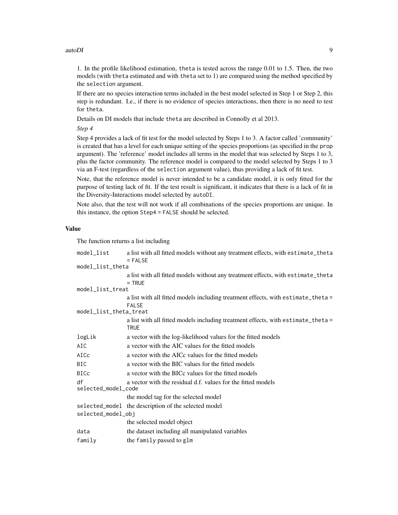### autoDI 9

1. In the profile likelihood estimation, theta is tested across the range 0.01 to 1.5. Then, the two models (with theta estimated and with theta set to 1) are compared using the method specified by the selection argument.

If there are no species interaction terms included in the best model selected in Step 1 or Step 2, this step is redundant. I.e., if there is no evidence of species interactions, then there is no need to test for theta.

Details on DI models that include theta are described in Connolly et al 2013.

*Step 4*

Step 4 provides a lack of fit test for the model selected by Steps 1 to 3. A factor called 'community' is created that has a level for each unique setting of the species proportions (as specified in the prop argument). The 'reference' model includes all terms in the model that was selected by Steps 1 to 3, plus the factor community. The reference model is compared to the model selected by Steps 1 to 3 via an F-test (regardless of the selection argument value), thus providing a lack of fit test.

Note, that the reference model is never intended to be a candidate model, it is only fitted for the purpose of testing lack of fit. If the test result is significant, it indicates that there is a lack of fit in the Diversity-Interactions model selected by autoDI.

Note also, that the test will not work if all combinations of the species proportions are unique. In this instance, the option Step4 = FALSE should be selected.

### Value

The function returns a list including

| model_list                | a list with all fitted models without any treatment effects, with estimate_theta<br>$=$ FALSE    |  |  |  |  |  |  |
|---------------------------|--------------------------------------------------------------------------------------------------|--|--|--|--|--|--|
| model_list_theta          |                                                                                                  |  |  |  |  |  |  |
|                           | a list with all fitted models without any treatment effects, with estimate_theta<br>$=$ TRUE     |  |  |  |  |  |  |
| model_list_treat          |                                                                                                  |  |  |  |  |  |  |
|                           | a list with all fitted models including treatment effects, with estimate_theta =<br><b>FALSE</b> |  |  |  |  |  |  |
| model_list_theta_treat    |                                                                                                  |  |  |  |  |  |  |
|                           | a list with all fitted models including treatment effects, with estimate_theta =<br><b>TRUE</b>  |  |  |  |  |  |  |
| logLik                    | a vector with the log-likelihood values for the fitted models                                    |  |  |  |  |  |  |
| AIC                       | a vector with the AIC values for the fitted models                                               |  |  |  |  |  |  |
| AICc                      | a vector with the AICc values for the fitted models                                              |  |  |  |  |  |  |
| <b>BIC</b>                | a vector with the BIC values for the fitted models                                               |  |  |  |  |  |  |
| <b>BICc</b>               | a vector with the BICc values for the fitted models                                              |  |  |  |  |  |  |
| df<br>selected_model_code | a vector with the residual d.f. values for the fitted models                                     |  |  |  |  |  |  |
|                           | the model tag for the selected model                                                             |  |  |  |  |  |  |
|                           | selected_model the description of the selected model                                             |  |  |  |  |  |  |
| selected_model_obj        |                                                                                                  |  |  |  |  |  |  |
|                           | the selected model object                                                                        |  |  |  |  |  |  |
| data                      | the dataset including all manipulated variables                                                  |  |  |  |  |  |  |
| family                    | the family passed to glm                                                                         |  |  |  |  |  |  |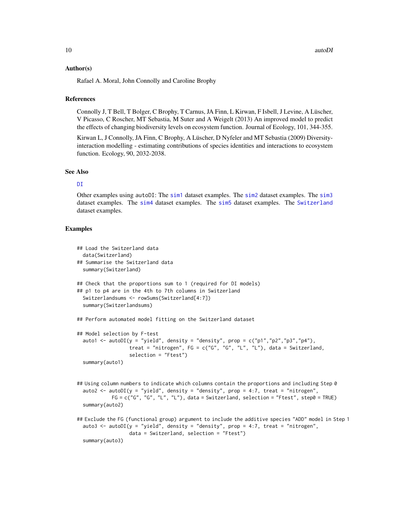### <span id="page-9-0"></span>Author(s)

Rafael A. Moral, John Connolly and Caroline Brophy

### References

Connolly J, T Bell, T Bolger, C Brophy, T Carnus, JA Finn, L Kirwan, F Isbell, J Levine, A Lüscher, V Picasso, C Roscher, MT Sebastia, M Suter and A Weigelt (2013) An improved model to predict the effects of changing biodiversity levels on ecosystem function. Journal of Ecology, 101, 344-355.

Kirwan L, J Connolly, JA Finn, C Brophy, A Lüscher, D Nyfeler and MT Sebastia (2009) Diversityinteraction modelling - estimating contributions of species identities and interactions to ecosystem function. Ecology, 90, 2032-2038.

### See Also

### D<sub>T</sub>

Other examples using autoDI: The [sim1](#page-29-1) dataset examples. The [sim2](#page-31-1) dataset examples. The [sim3](#page-35-1) dataset examples. The [sim4](#page-39-1) dataset examples. The [sim5](#page-43-1) dataset examples. The [Switzerland](#page-46-1) dataset examples.

### Examples

```
## Load the Switzerland data
 data(Switzerland)
## Summarise the Switzerland data
 summary(Switzerland)
## Check that the proportions sum to 1 (required for DI models)
## p1 to p4 are in the 4th to 7th columns in Switzerland
 Switzerlandsums <- rowSums(Switzerland[4:7])
 summary(Switzerlandsums)
## Perform automated model fitting on the Switzerland dataset
## Model selection by F-test
 auto1 <- autoDI(y = "yield", density = "density", prop = c("p1","p2","p3","p4"),
                  treat = "nitrogen", FG = c("G", "G", "L", "L"), data = Switzerland,
                  selection = "Ftest")
 summary(auto1)
## Using column numbers to indicate which columns contain the proportions and including Step 0
 auto2 <- autoDI(y = "yield", density = "density", prop = 4:7, treat = "nitrogen",
            FG = c("G", "G", "L", "L"), data = Switzerland, selection = "Ftest", step0 = TRUE)summary(auto2)
## Exclude the FG (functional group) argument to include the additive species "ADD" model in Step 1
 auto3 \le - autoDI(y = "yield", density = "density", prop = 4:7, treat = "nitrogen",
                  data = Switzerland, selection = "Ftest")
 summary(auto3)
```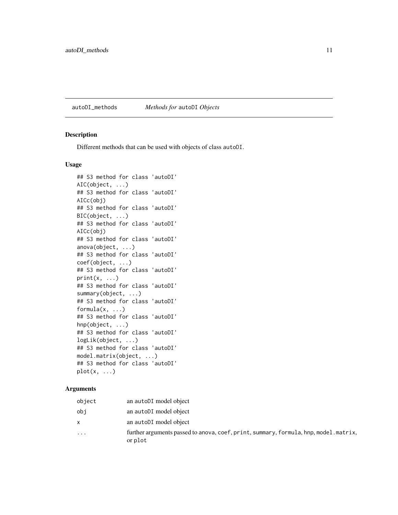## <span id="page-10-0"></span>autoDI\_methods *Methods for* autoDI *Objects*

### Description

Different methods that can be used with objects of class autoDI.

### Usage

```
## S3 method for class 'autoDI'
AIC(object, ...)
## S3 method for class 'autoDI'
AICc(obj)
## S3 method for class 'autoDI'
BIC(object, ...)
## S3 method for class 'autoDI'
AICc(obj)
## S3 method for class 'autoDI'
anova(object, ...)
## S3 method for class 'autoDI'
coef(object, ...)
## S3 method for class 'autoDI'
print(x, \ldots)## S3 method for class 'autoDI'
summary(object, ...)
## S3 method for class 'autoDI'
formula(x, \ldots)## S3 method for class 'autoDI'
hnp(object, ...)
## S3 method for class 'autoDI'
logLik(object, ...)
## S3 method for class 'autoDI'
model.matrix(object, ...)
## S3 method for class 'autoDI'
plot(x, \ldots)
```
### Arguments

| object   | an autoDI model object                                                                          |
|----------|-------------------------------------------------------------------------------------------------|
| obi      | an autoDI model object                                                                          |
| X        | an autoDI model object                                                                          |
| $\cdots$ | further arguments passed to anova, coef, print, summary, formula, hnp, model.matrix,<br>or plot |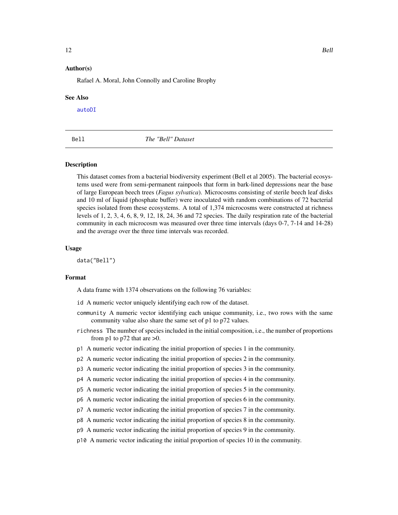### <span id="page-11-0"></span>Author(s)

Rafael A. Moral, John Connolly and Caroline Brophy

### See Also

[autoDI](#page-5-1)

## <span id="page-11-1"></span>Bell *The "Bell" Dataset*

### Description

This dataset comes from a bacterial biodiversity experiment (Bell et al 2005). The bacterial ecosystems used were from semi-permanent rainpools that form in bark-lined depressions near the base of large European beech trees (*Fagus sylvatica*). Microcosms consisting of sterile beech leaf disks and 10 ml of liquid (phosphate buffer) were inoculated with random combinations of 72 bacterial species isolated from these ecosystems. A total of 1,374 microcosms were constructed at richness levels of 1, 2, 3, 4, 6, 8, 9, 12, 18, 24, 36 and 72 species. The daily respiration rate of the bacterial community in each microcosm was measured over three time intervals (days 0-7, 7-14 and 14-28) and the average over the three time intervals was recorded.

### Usage

data("Bell")

### Format

A data frame with 1374 observations on the following 76 variables:

id A numeric vector uniquely identifying each row of the dataset.

- community A numeric vector identifying each unique community, i.e., two rows with the same community value also share the same set of p1 to p72 values.
- richness The number of species included in the initial composition, i.e., the number of proportions from p1 to p72 that are  $>0$ .
- p1 A numeric vector indicating the initial proportion of species 1 in the community.
- p2 A numeric vector indicating the initial proportion of species 2 in the community.
- p3 A numeric vector indicating the initial proportion of species 3 in the community.
- p4 A numeric vector indicating the initial proportion of species 4 in the community.
- p5 A numeric vector indicating the initial proportion of species 5 in the community.
- p6 A numeric vector indicating the initial proportion of species 6 in the community.
- p7 A numeric vector indicating the initial proportion of species 7 in the community.
- p8 A numeric vector indicating the initial proportion of species 8 in the community.
- p9 A numeric vector indicating the initial proportion of species 9 in the community.
- p10 A numeric vector indicating the initial proportion of species 10 in the community.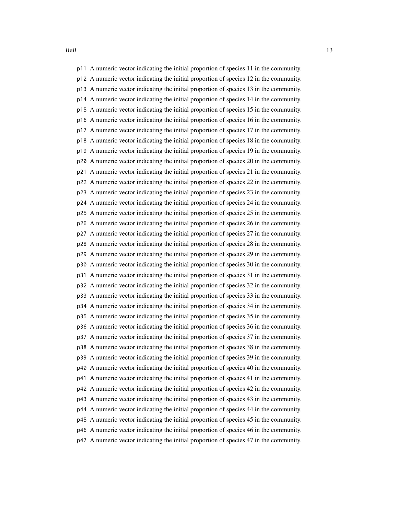Bell 23 and 23 and 23 and 23 and 23 and 23 and 23 and 23 and 23 and 23 and 23 and 23 and 23 and 23 and 23 and 23 and 23 and 23 and 23 and 23 and 23 and 23 and 23 and 23 and 23 and 23 and 23 and 23 and 23 and 23 and 23 and

p11 A numeric vector indicating the initial proportion of species 11 in the community. p12 A numeric vector indicating the initial proportion of species 12 in the community. p13 A numeric vector indicating the initial proportion of species 13 in the community. p14 A numeric vector indicating the initial proportion of species 14 in the community. p15 A numeric vector indicating the initial proportion of species 15 in the community. p16 A numeric vector indicating the initial proportion of species 16 in the community. p17 A numeric vector indicating the initial proportion of species 17 in the community. p18 A numeric vector indicating the initial proportion of species 18 in the community. p19 A numeric vector indicating the initial proportion of species 19 in the community. p20 A numeric vector indicating the initial proportion of species 20 in the community. p21 A numeric vector indicating the initial proportion of species 21 in the community. p22 A numeric vector indicating the initial proportion of species 22 in the community. p23 A numeric vector indicating the initial proportion of species 23 in the community. p24 A numeric vector indicating the initial proportion of species 24 in the community. p25 A numeric vector indicating the initial proportion of species 25 in the community. p26 A numeric vector indicating the initial proportion of species 26 in the community. p27 A numeric vector indicating the initial proportion of species 27 in the community. p28 A numeric vector indicating the initial proportion of species 28 in the community. p29 A numeric vector indicating the initial proportion of species 29 in the community. p30 A numeric vector indicating the initial proportion of species 30 in the community. p31 A numeric vector indicating the initial proportion of species 31 in the community. p32 A numeric vector indicating the initial proportion of species 32 in the community. p33 A numeric vector indicating the initial proportion of species 33 in the community. p34 A numeric vector indicating the initial proportion of species 34 in the community. p35 A numeric vector indicating the initial proportion of species 35 in the community. p36 A numeric vector indicating the initial proportion of species 36 in the community. p37 A numeric vector indicating the initial proportion of species 37 in the community. p38 A numeric vector indicating the initial proportion of species 38 in the community. p39 A numeric vector indicating the initial proportion of species 39 in the community. p40 A numeric vector indicating the initial proportion of species 40 in the community. p41 A numeric vector indicating the initial proportion of species 41 in the community. p42 A numeric vector indicating the initial proportion of species 42 in the community. p43 A numeric vector indicating the initial proportion of species 43 in the community. p44 A numeric vector indicating the initial proportion of species 44 in the community. p45 A numeric vector indicating the initial proportion of species 45 in the community. p46 A numeric vector indicating the initial proportion of species 46 in the community. p47 A numeric vector indicating the initial proportion of species 47 in the community.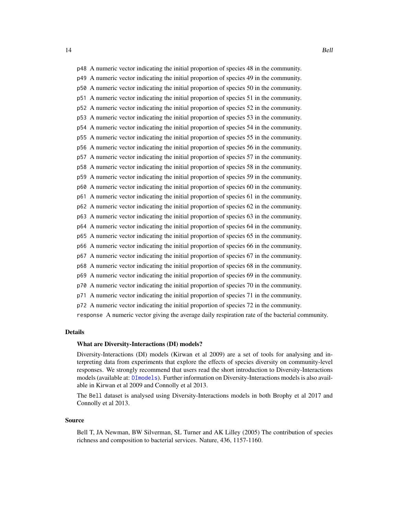<span id="page-13-0"></span>14 Bell

p51 A numeric vector indicating the initial proportion of species 51 in the community.

p52 A numeric vector indicating the initial proportion of species 52 in the community.

p53 A numeric vector indicating the initial proportion of species 53 in the community.

p54 A numeric vector indicating the initial proportion of species 54 in the community.

p55 A numeric vector indicating the initial proportion of species 55 in the community. p56 A numeric vector indicating the initial proportion of species 56 in the community.

p57 A numeric vector indicating the initial proportion of species 57 in the community.

p58 A numeric vector indicating the initial proportion of species 58 in the community.

p59 A numeric vector indicating the initial proportion of species 59 in the community.

p60 A numeric vector indicating the initial proportion of species 60 in the community.

p61 A numeric vector indicating the initial proportion of species 61 in the community.

p62 A numeric vector indicating the initial proportion of species 62 in the community.

p63 A numeric vector indicating the initial proportion of species 63 in the community.

p64 A numeric vector indicating the initial proportion of species 64 in the community.

p65 A numeric vector indicating the initial proportion of species 65 in the community.

p66 A numeric vector indicating the initial proportion of species 66 in the community.

p67 A numeric vector indicating the initial proportion of species 67 in the community.

p68 A numeric vector indicating the initial proportion of species 68 in the community.

p69 A numeric vector indicating the initial proportion of species 69 in the community.

p70 A numeric vector indicating the initial proportion of species 70 in the community.

p71 A numeric vector indicating the initial proportion of species 71 in the community.

p72 A numeric vector indicating the initial proportion of species 72 in the community.

response A numeric vector giving the average daily respiration rate of the bacterial community.

## Details

### What are Diversity-Interactions (DI) models?

Diversity-Interactions (DI) models (Kirwan et al 2009) are a set of tools for analysing and interpreting data from experiments that explore the effects of species diversity on community-level responses. We strongly recommend that users read the short introduction to Diversity-Interactions models (available at: [DImodels](#page-1-1)). Further information on Diversity-Interactions models is also available in Kirwan et al 2009 and Connolly et al 2013.

The Bell dataset is analysed using Diversity-Interactions models in both Brophy et al 2017 and Connolly et al 2013.

### Source

Bell T, JA Newman, BW Silverman, SL Turner and AK Lilley (2005) The contribution of species richness and composition to bacterial services. Nature, 436, 1157-1160.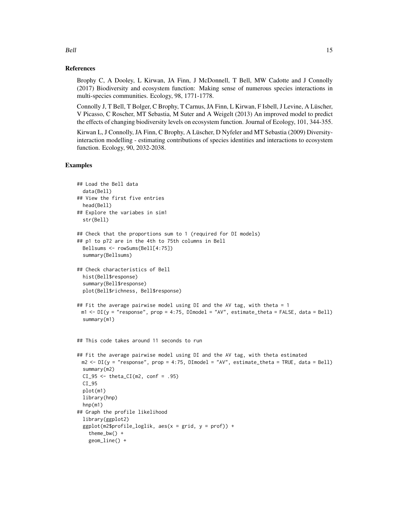### References

Brophy C, A Dooley, L Kirwan, JA Finn, J McDonnell, T Bell, MW Cadotte and J Connolly (2017) Biodiversity and ecosystem function: Making sense of numerous species interactions in multi-species communities. Ecology, 98, 1771-1778.

Connolly J, T Bell, T Bolger, C Brophy, T Carnus, JA Finn, L Kirwan, F Isbell, J Levine, A Lüscher, V Picasso, C Roscher, MT Sebastia, M Suter and A Weigelt (2013) An improved model to predict the effects of changing biodiversity levels on ecosystem function. Journal of Ecology, 101, 344-355.

Kirwan L, J Connolly, JA Finn, C Brophy, A Lüscher, D Nyfeler and MT Sebastia (2009) Diversityinteraction modelling - estimating contributions of species identities and interactions to ecosystem function. Ecology, 90, 2032-2038.

### Examples

```
## Load the Bell data
 data(Bell)
## View the first five entries
 head(Bell)
## Explore the variabes in sim1
 str(Bell)
## Check that the proportions sum to 1 (required for DI models)
## p1 to p72 are in the 4th to 75th columns in Bell
 Bellsums <- rowSums(Bell[4:75])
 summary(Bellsums)
## Check characteristics of Bell
 hist(Bell$response)
 summary(Bell$response)
 plot(Bell$richness, Bell$response)
## Fit the average pairwise model using DI and the AV tag, with theta = 1
 m1 \le -DI(y = "response", prop = 4:75, DIModel = "AV", estimate\_theta = FALSE, data = Bell)summary(m1)
## This code takes around 11 seconds to run
## Fit the average pairwise model using DI and the AV tag, with theta estimated
 m2 \le -DI(y = "response", prop = 4:75, DIModel = "AV", estimate\_theta = TRUE, data = Bell)summary(m2)
 CI_95 \leftarrow theta_CI(m2, conf = .95)CI_95
 plot(m1)
 library(hnp)
 hnp(m1)
## Graph the profile likelihood
 library(ggplot2)
 ggplot(m2$profile_loglik, aes(x = grid, y = prof)) +theme_bw() +
   geom_line() +
```
Bell 15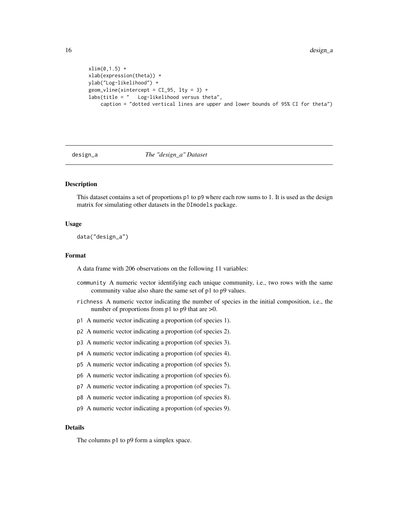```
xlim(0,1.5) +
xlab(expression(theta)) +
ylab("Log-likelihood") +
geom\_vline(xintercept = CI_95, 1ty = 3) +labs(title = " Log-likelihood versus theta",
    caption = "dotted vertical lines are upper and lower bounds of 95% CI for theta")
```
### design\_a *The "design\_a" Dataset*

### Description

This dataset contains a set of proportions p1 to p9 where each row sums to 1. It is used as the design matrix for simulating other datasets in the DImodels package.

### Usage

data("design\_a")

### Format

A data frame with 206 observations on the following 11 variables:

- community A numeric vector identifying each unique community, i.e., two rows with the same community value also share the same set of p1 to p9 values.
- richness A numeric vector indicating the number of species in the initial composition, i.e., the number of proportions from p1 to p9 that are  $>0$ .
- p1 A numeric vector indicating a proportion (of species 1).
- p2 A numeric vector indicating a proportion (of species 2).
- p3 A numeric vector indicating a proportion (of species 3).
- p4 A numeric vector indicating a proportion (of species 4).
- p5 A numeric vector indicating a proportion (of species 5).
- p6 A numeric vector indicating a proportion (of species 6).
- p7 A numeric vector indicating a proportion (of species 7).
- p8 A numeric vector indicating a proportion (of species 8).
- p9 A numeric vector indicating a proportion (of species 9).

### Details

The columns p1 to p9 form a simplex space.

<span id="page-15-0"></span>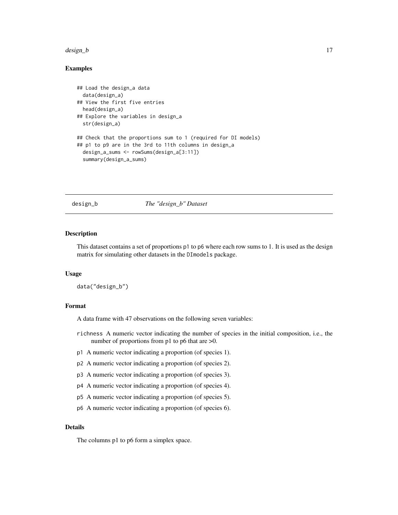### <span id="page-16-0"></span> $design_b$  17

### Examples

```
## Load the design_a data
 data(design_a)
## View the first five entries
 head(design_a)
## Explore the variables in design_a
 str(design_a)
## Check that the proportions sum to 1 (required for DI models)
## p1 to p9 are in the 3rd to 11th columns in design_a
 design_a_sums <- rowSums(design_a[3:11])
 summary(design_a_sums)
```
design\_b *The "design\_b" Dataset*

### Description

This dataset contains a set of proportions p1 to p6 where each row sums to 1. It is used as the design matrix for simulating other datasets in the DImodels package.

### Usage

data("design\_b")

### Format

A data frame with 47 observations on the following seven variables:

- richness A numeric vector indicating the number of species in the initial composition, i.e., the number of proportions from p1 to p6 that are  $>0$ .
- p1 A numeric vector indicating a proportion (of species 1).
- p2 A numeric vector indicating a proportion (of species 2).
- p3 A numeric vector indicating a proportion (of species 3).
- p4 A numeric vector indicating a proportion (of species 4).
- p5 A numeric vector indicating a proportion (of species 5).
- p6 A numeric vector indicating a proportion (of species 6).

### Details

The columns p1 to p6 form a simplex space.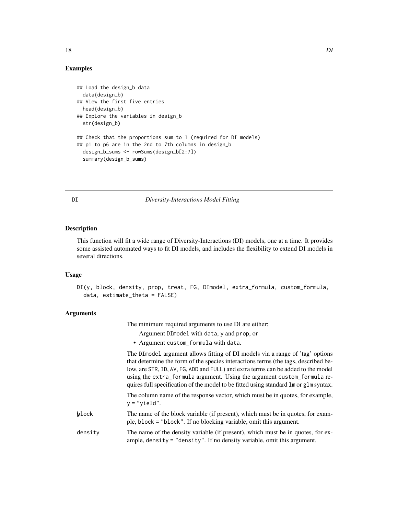### <span id="page-17-0"></span>Examples

```
## Load the design_b data
 data(design_b)
## View the first five entries
 head(design_b)
## Explore the variables in design_b
 str(design_b)
## Check that the proportions sum to 1 (required for DI models)
## p1 to p6 are in the 2nd to 7th columns in design_b
 design_b_sums <- rowSums(design_b[2:7])
 summary(design_b_sums)
```
### <span id="page-17-1"></span>DI *Diversity-Interactions Model Fitting*

### Description

This function will fit a wide range of Diversity-Interactions (DI) models, one at a time. It provides some assisted automated ways to fit DI models, and includes the flexibility to extend DI models in several directions.

### Usage

```
DI(y, block, density, prop, treat, FG, DImodel, extra_formula, custom_formula,
  data, estimate_theta = FALSE)
```
### Arguments

The minimum required arguments to use DI are either:

- Argument DImodel with data, y and prop, or
- Argument custom\_formula with data.

The DImodel argument allows fitting of DI models via a range of 'tag' options that determine the form of the species interactions terms (the tags, described below, are STR, ID, AV, FG, ADD and FULL) and extra terms can be added to the model using the extra\_formula argument. Using the argument custom\_formula requires full specification of the model to be fitted using standard lm or glm syntax.

The column name of the response vector, which must be in quotes, for example,  $y = "yield".$ 

- yblock The name of the block variable (if present), which must be in quotes, for example, block = "block". If no blocking variable, omit this argument.
- density The name of the density variable (if present), which must be in quotes, for example, density = "density". If no density variable, omit this argument.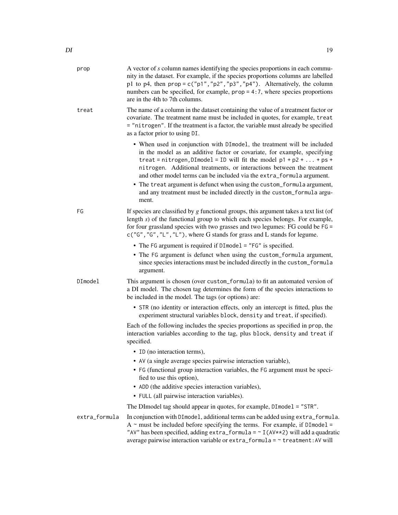| prop          | A vector of s column names identifying the species proportions in each commu-<br>nity in the dataset. For example, if the species proportions columns are labelled<br>p1 to p4, then $prop = c("p1", "p2", "p3", "p4")$ . Alternatively, the column<br>numbers can be specified, for example, $prop = 4:7$ , where species proportions<br>are in the 4th to 7th columns.        |
|---------------|---------------------------------------------------------------------------------------------------------------------------------------------------------------------------------------------------------------------------------------------------------------------------------------------------------------------------------------------------------------------------------|
| treat         | The name of a column in the dataset containing the value of a treatment factor or<br>covariate. The treatment name must be included in quotes, for example, treat<br>= "nitrogen". If the treatment is a factor, the variable must already be specified<br>as a factor prior to using DI.                                                                                       |
|               | • When used in conjunction with DImodel, the treatment will be included<br>in the model as an additive factor or covariate, for example, specifying<br>treat = nitrogen, DImodel = ID will fit the model $p1 + p2 +  + ps +$<br>nitrogen. Additional treatments, or interactions between the treatment<br>and other model terms can be included via the extra_formula argument. |
|               | • The treat argument is defunct when using the custom_formula argument,<br>and any treatment must be included directly in the custom_formula argu-<br>ment.                                                                                                                                                                                                                     |
| FG            | If species are classified by $g$ functional groups, this argument takes a text list (of<br>length $s$ ) of the functional group to which each species belongs. For example,<br>for four grassland species with two grasses and two legumes: FG could be FG =<br>c("G", "G", "L", "L"), where G stands for grass and L stands for legume.                                        |
|               | • The FG argument is required if DImodel = "FG" is specified.<br>• The FG argument is defunct when using the custom_formula argument,<br>since species interactions must be included directly in the custom_formula<br>argument.                                                                                                                                                |
| DImodel       | This argument is chosen (over custom_formula) to fit an automated version of<br>a DI model. The chosen tag determines the form of the species interactions to<br>be included in the model. The tags (or options) are:                                                                                                                                                           |
|               | • STR (no identity or interaction effects, only an intercept is fitted, plus the<br>experiment structural variables block, density and treat, if specified).                                                                                                                                                                                                                    |
|               | Each of the following includes the species proportions as specified in prop, the<br>interaction variables according to the tag, plus block, density and treat if<br>specified.                                                                                                                                                                                                  |
|               | • ID (no interaction terms),                                                                                                                                                                                                                                                                                                                                                    |
|               | • AV (a single average species pairwise interaction variable),                                                                                                                                                                                                                                                                                                                  |
|               | • FG (functional group interaction variables, the FG argument must be speci-<br>fied to use this option),                                                                                                                                                                                                                                                                       |
|               | • ADD (the additive species interaction variables),                                                                                                                                                                                                                                                                                                                             |
|               | • FULL (all pairwise interaction variables).                                                                                                                                                                                                                                                                                                                                    |
|               | The DImodel tag should appear in quotes, for example, DImodel = "STR".                                                                                                                                                                                                                                                                                                          |
| extra_formula | In conjunction with DImodel, additional terms can be added using extra_formula.<br>$A \sim$ must be included before specifying the terms. For example, if DImodel =<br>"AV" has been specified, adding extra_formula = ~ I (AV**2) will add a quadratic<br>average pairwise interaction variable or $extra_format$ formula = $\sim$ treatment: AV will                          |
|               |                                                                                                                                                                                                                                                                                                                                                                                 |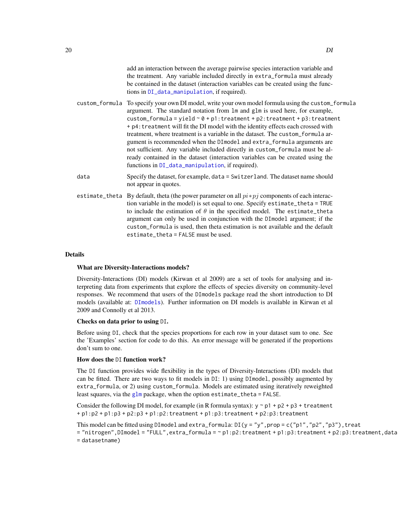- <span id="page-19-0"></span>custom\_formula To specify your own DI model, write your own model formula using the custom\_formula argument. The standard notation from lm and glm is used here, for example, custom\_formula = yield  $\sim \theta$  + p1: treatment + p2: treatment + p3: treatment + p4:treatment will fit the DI model with the identity effects each crossed with treatment, where treatment is a variable in the dataset. The custom\_formula argument is recommended when the DImodel and extra\_formula arguments are not sufficient. Any variable included directly in custom\_formula must be already contained in the dataset (interaction variables can be created using the functions in [DI\\_data\\_manipulation](#page-23-2), if required).
- data Specify the dataset, for example, data = Switzerland. The dataset name should not appear in quotes.
- estimate\_theta By default, theta (the power parameter on all  $pi * pj$  components of each interaction variable in the model) is set equal to one. Specify estimate\_theta = TRUE to include the estimation of  $\theta$  in the specified model. The estimate\_theta argument can only be used in conjunction with the DImodel argument; if the custom\_formula is used, then theta estimation is not available and the default estimate theta = FALSE must be used.

### Details

### What are Diversity-Interactions models?

Diversity-Interactions (DI) models (Kirwan et al 2009) are a set of tools for analysing and interpreting data from experiments that explore the effects of species diversity on community-level responses. We recommend that users of the DImodels package read the short introduction to DI models (available at: [DImodels](#page-1-1)). Further information on DI models is available in Kirwan et al 2009 and Connolly et al 2013.

### Checks on data prior to using DI.

Before using DI, check that the species proportions for each row in your dataset sum to one. See the 'Examples' section for code to do this. An error message will be generated if the proportions don't sum to one.

### How does the DI function work?

The DI function provides wide flexibility in the types of Diversity-Interactions (DI) models that can be fitted. There are two ways to fit models in DI: 1) using DImodel, possibly augmented by extra\_formula, or 2) using custom\_formula. Models are estimated using iteratively reweighted least squares, via the  $glm$  package, when the option estimate\_theta = FALSE.

Consider the following DI model, for example (in R formula syntax):  $y \sim p1 + p2 + p3 + t$  reatment  $+p1:p2+p1:p3+p2:p3+p1:p2:treatment+p1:p3:treatment+p2:p3:treatment$ 

This model can be fitted using DImodel and extra\_formula:  $DI(y = "y", prop = c("p1", "p2", "p3"), treat$ = "nitrogen",DImodel = "FULL",extra\_formula = ~ p1:p2:treatment + p1:p3:treatment + p2:p3:treatment,data = datasetname)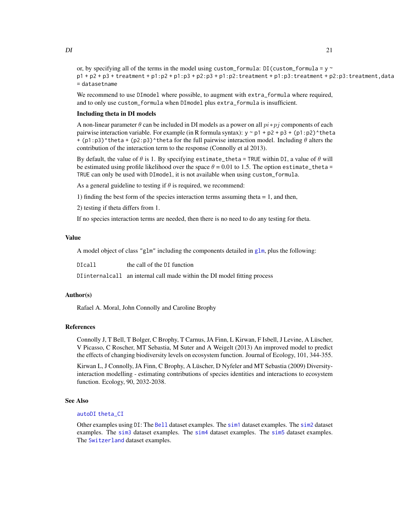<span id="page-20-0"></span>or, by specifying all of the terms in the model using custom\_formula: DI(custom\_formula =  $y \sim$  $p1 + p2 + p3 + t$  reatment +  $p1:p2 + p1:p3 + p2:p3 + p1:p2$ : treatment +  $p1:p3$ : treatment +  $p2:p3$ : treatment,data = datasetname

We recommend to use DImodel where possible, to augment with extra\_formula where required, and to only use custom\_formula when DImodel plus extra\_formula is insufficient.

### Including theta in DI models

A non-linear parameter  $\theta$  can be included in DI models as a power on all  $pi * pj$  components of each pairwise interaction variable. For example (in R formula syntax):  $y \sim p1 + p2 + p3 + (p1:p2) \text{^*}$ theta + (p1:p3)^theta + (p2:p3)^theta for the full pairwise interaction model. Including  $\theta$  alters the contribution of the interaction term to the response (Connolly et al 2013).

By default, the value of  $\theta$  is 1. By specifying estimate\_theta = TRUE within DI, a value of  $\theta$  will be estimated using profile likelihood over the space  $\theta = 0.01$  to 1.5. The option estimate\_theta = TRUE can only be used with DImodel, it is not available when using custom\_formula.

As a general guideline to testing if  $\theta$  is required, we recommend:

1) finding the best form of the species interaction terms assuming theta  $= 1$ , and then,

2) testing if theta differs from 1.

If no species interaction terms are needed, then there is no need to do any testing for theta.

### Value

A model object of class "[glm](#page-0-0)" including the components detailed in glm, plus the following:

DIcall the call of the DI function DIinternalcall an internal call made within the DI model fitting process

### Author(s)

Rafael A. Moral, John Connolly and Caroline Brophy

### References

Connolly J, T Bell, T Bolger, C Brophy, T Carnus, JA Finn, L Kirwan, F Isbell, J Levine, A Lüscher, V Picasso, C Roscher, MT Sebastia, M Suter and A Weigelt (2013) An improved model to predict the effects of changing biodiversity levels on ecosystem function. Journal of Ecology, 101, 344-355.

Kirwan L, J Connolly, JA Finn, C Brophy, A Lüscher, D Nyfeler and MT Sebastia (2009) Diversityinteraction modelling - estimating contributions of species identities and interactions to ecosystem function. Ecology, 90, 2032-2038.

### See Also

### [autoDI](#page-5-1) [theta\\_CI](#page-49-1)

Other examples using DI: The [Bell](#page-11-1) dataset examples. The [sim1](#page-29-1) dataset examples. The [sim2](#page-31-1) dataset examples. The [sim3](#page-35-1) dataset examples. The [sim4](#page-39-1) dataset examples. The [sim5](#page-43-1) dataset examples. The [Switzerland](#page-46-1) dataset examples.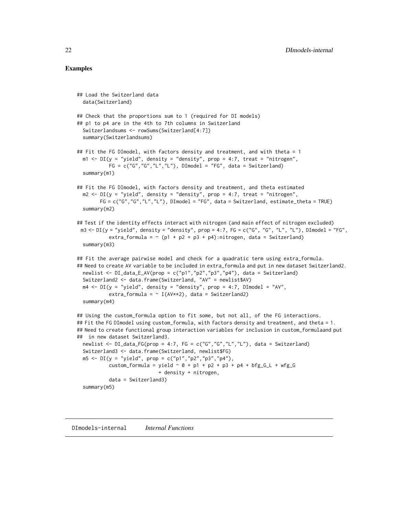### <span id="page-21-0"></span>Examples

```
## Load the Switzerland data
 data(Switzerland)
## Check that the proportions sum to 1 (required for DI models)
## p1 to p4 are in the 4th to 7th columns in Switzerland
 Switzerlandsums <- rowSums(Switzerland[4:7])
 summary(Switzerlandsums)
## Fit the FG DImodel, with factors density and treatment, and with theta = 1
 m1 <- DI(y = "yield", density = "density", prop = 4:7, treat = "nitrogen",FG = c("G", "G", "L", "L"), DImodel = "FG", data = Switzerland)summary(m1)
## Fit the FG DImodel, with factors density and treatment, and theta estimated
 m2 \leq D I(y = "yield", density = "density", prop = 4:7, treat = "nitrogen",FG = c("G","G","L","L"), DImodel = "FG", data = Switzerland, estimate_theta = TRUE)
 summary(m2)
## Test if the identity effects interact with nitrogen (and main effect of nitrogen excluded)
 m3 \leq D I(y = "yield", density = "density", prop = 4:7, FG = c("G", "G", "L", "L"), DImodel = "FG",extra_formula = \sim (p1 + p2 + p3 + p4):nitrogen, data = Switzerland)
 summary(m3)
## Fit the average pairwise model and check for a quadratic term using extra_formula.
## Need to create AV variable to be included in extra_formula and put in new dataset Switzerland2.
 newlist <- DI_data_E_AV(prop = c("p1","p2","p3","p4"), data = Switzerland)
 Switzerland2 <- data.frame(Switzerland, "AV" = newlist$AV)
 m4 \leq D I(y = "yield", density = "density", prop = 4:7, DI model = "AV",extra_formula = \sim I(AV**2), data = Switzerland2)
 summary(m4)
## Using the custom_formula option to fit some, but not all, of the FG interactions.
## Fit the FG DImodel using custom_formula, with factors density and treatment, and theta = 1.
## Need to create functional group interaction variables for inclusion in custom_formulaand put
## in new dataset Switzerland3.
 newlist <- DI_data_FG(prop = 4:7, FG = c("G","G","L","L"), data = Switzerland)
 Switzerland3 <- data.frame(Switzerland, newlist$FG)
 m5 <- DI(y = "yield", prop = c("p1", "p2", "p3", "p4"),custom_formula = yield \sim 0 + p1 + p2 + p3 + p4 + bfg_G_L + wfg_G
                            + density + nitrogen,
           data = Switzerland3)
 summary(m5)
```
DImodels-internal *Internal Functions*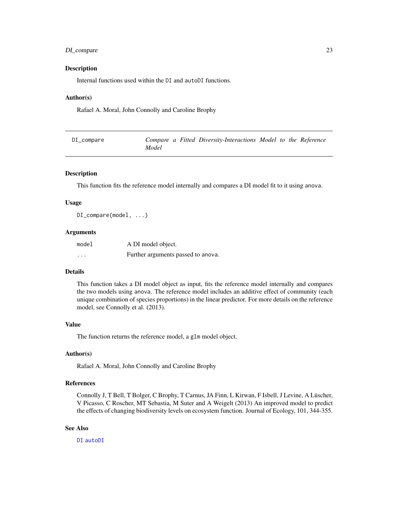### <span id="page-22-0"></span>DI\_compare 23

### Description

Internal functions used within the DI and autoDI functions.

### Author(s)

Rafael A. Moral, John Connolly and Caroline Brophy

<span id="page-22-1"></span>

| DI_compare |       | Compare a Fitted Diversity-Interactions Model to the Reference |  |  |
|------------|-------|----------------------------------------------------------------|--|--|
|            | Model |                                                                |  |  |

### Description

This function fits the reference model internally and compares a DI model fit to it using anova.

### Usage

DI\_compare(model, ...)

### Arguments

| model   | A DI model object.                 |
|---------|------------------------------------|
| $\cdot$ | Further arguments passed to anova. |

### Details

This function takes a DI model object as input, fits the reference model internally and compares the two models using anova. The reference model includes an additive effect of community (each unique combination of species proportions) in the linear predictor. For more details on the reference model, see Connolly et al. (2013).

### Value

The function returns the reference model, a glm model object.

### Author(s)

Rafael A. Moral, John Connolly and Caroline Brophy

### References

Connolly J, T Bell, T Bolger, C Brophy, T Carnus, JA Finn, L Kirwan, F Isbell, J Levine, A Lüscher, V Picasso, C Roscher, MT Sebastia, M Suter and A Weigelt (2013) An improved model to predict the effects of changing biodiversity levels on ecosystem function. Journal of Ecology, 101, 344-355.

### See Also

[DI](#page-17-1) [autoDI](#page-5-1)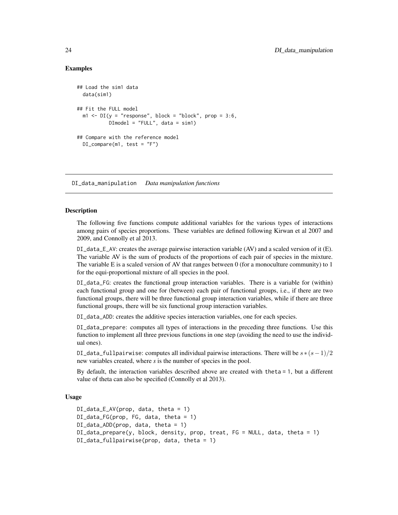### Examples

```
## Load the sim1 data
  data(sim1)
## Fit the FULL model
  m1 \leq -DI(y = "response", block = "block", prove = 3:6,DImodel = "FULL", data = sim1)
## Compare with the reference model
  DI_{\text{compare}}(m1, \text{test} = "F")
```
<span id="page-23-2"></span>DI\_data\_manipulation *Data manipulation functions*

### <span id="page-23-1"></span>Description

The following five functions compute additional variables for the various types of interactions among pairs of species proportions. These variables are defined following Kirwan et al 2007 and 2009, and Connolly et al 2013.

 $DI\_data\_E_AV$ : creates the average pairwise interaction variable (AV) and a scaled version of it (E). The variable AV is the sum of products of the proportions of each pair of species in the mixture. The variable E is a scaled version of AV that ranges between  $0$  (for a monoculture community) to  $1$ for the equi-proportional mixture of all species in the pool.

DI\_data\_FG: creates the functional group interaction variables. There is a variable for (within) each functional group and one for (between) each pair of functional groups, i.e., if there are two functional groups, there will be three functional group interaction variables, while if there are three functional groups, there will be six functional group interaction variables.

DI\_data\_ADD: creates the additive species interaction variables, one for each species.

DI\_data\_prepare: computes all types of interactions in the preceding three functions. Use this function to implement all three previous functions in one step (avoiding the need to use the individual ones).

DI\_data\_fullpairwise: computes all individual pairwise interactions. There will be  $s*(s-1)/2$ new variables created, where *s* is the number of species in the pool.

By default, the interaction variables described above are created with theta = 1, but a different value of theta can also be specified (Connolly et al 2013).

### Usage

```
DI\_data\_E_AV(prop, data, theta = 1)DI_data_FG(prop, FG, data, theta = 1)
DI_data_ADD(prop, data, theta = 1)
DI_data_prepare(y, block, density, prop, treat, FG = NULL, data, theta = 1)
DI_data_fullpairwise(prop, data, theta = 1)
```
<span id="page-23-0"></span>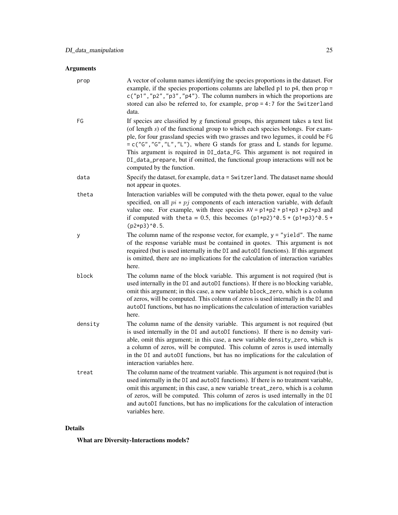## Arguments

| prop    | A vector of column names identifying the species proportions in the dataset. For<br>example, if the species proportions columns are labelled $p1$ to $p4$ , then $prop =$<br>$c("p1", "p2", "p3", "p4").$ The column numbers in which the proportions are<br>stored can also be referred to, for example, $prop = 4:7$ for the Switzerland<br>data.                                                                                                                                                                                      |
|---------|------------------------------------------------------------------------------------------------------------------------------------------------------------------------------------------------------------------------------------------------------------------------------------------------------------------------------------------------------------------------------------------------------------------------------------------------------------------------------------------------------------------------------------------|
| FG      | If species are classified by $g$ functional groups, this argument takes a text list<br>(of length $s$ ) of the functional group to which each species belongs. For exam-<br>ple, for four grassland species with two grasses and two legumes, it could be FG<br>$= c("G", "G", "L", "L"),$ where G stands for grass and L stands for legume.<br>This argument is required in DI_data_FG. This argument is not required in<br>DI_data_prepare, but if omitted, the functional group interactions will not be<br>computed by the function. |
| data    | Specify the dataset, for example, data = Switzerland. The dataset name should<br>not appear in quotes.                                                                                                                                                                                                                                                                                                                                                                                                                                   |
| theta   | Interaction variables will be computed with the theta power, equal to the value<br>specified, on all $pi * pj$ components of each interaction variable, with default<br>value one. For example, with three species $AV = p1*p2 + p1*p3 + p2*p3$ and<br>if computed with the ta = 0.5, this becomes $(p1*p2)^0.5 + (p1*p3)^0.5 +$<br>$(p2*p3)^0.5$ .                                                                                                                                                                                      |
| y       | The column name of the response vector, for example, $y =$ "yield". The name<br>of the response variable must be contained in quotes. This argument is not<br>required (but is used internally in the DI and autoDI functions). If this argument<br>is omitted, there are no implications for the calculation of interaction variables<br>here.                                                                                                                                                                                          |
| block   | The column name of the block variable. This argument is not required (but is<br>used internally in the DI and autoDI functions). If there is no blocking variable,<br>omit this argument; in this case, a new variable block_zero, which is a column<br>of zeros, will be computed. This column of zeros is used internally in the DI and<br>autoDI functions, but has no implications the calculation of interaction variables<br>here.                                                                                                 |
| density | The column name of the density variable. This argument is not required (but<br>is used internally in the DI and autoDI functions). If there is no density vari-<br>able, omit this argument; in this case, a new variable density_zero, which is<br>a column of zeros, will be computed. This column of zeros is used internally<br>in the DI and autoDI functions, but has no implications for the calculation of<br>interaction variables here.                                                                                        |
| treat   | The column name of the treatment variable. This argument is not required (but is<br>used internally in the DI and autoDI functions). If there is no treatment variable,<br>omit this argument; in this case, a new variable treat_zero, which is a column<br>of zeros, will be computed. This column of zeros is used internally in the DI<br>and autoDI functions, but has no implications for the calculation of interaction<br>variables here.                                                                                        |

## Details

What are Diversity-Interactions models?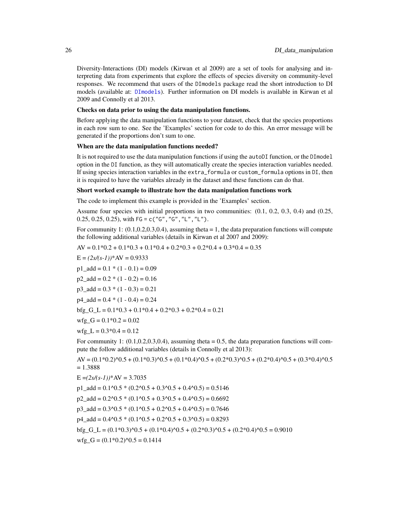<span id="page-25-0"></span>Diversity-Interactions (DI) models (Kirwan et al 2009) are a set of tools for analysing and interpreting data from experiments that explore the effects of species diversity on community-level responses. We recommend that users of the DImodels package read the short introduction to DI models (available at: [DImodels](#page-1-1)). Further information on DI models is available in Kirwan et al 2009 and Connolly et al 2013.

### Checks on data prior to using the data manipulation functions.

Before applying the data manipulation functions to your dataset, check that the species proportions in each row sum to one. See the 'Examples' section for code to do this. An error message will be generated if the proportions don't sum to one.

### When are the data manipulation functions needed?

It is not required to use the data manipulation functions if using the autoDI function, or the DImodel option in the DI function, as they will automatically create the species interaction variables needed. If using species interaction variables in the extra\_formula or custom\_formula options in DI, then it is required to have the variables already in the dataset and these functions can do that.

### Short worked example to illustrate how the data manipulation functions work

The code to implement this example is provided in the 'Examples' section.

Assume four species with initial proportions in two communities: (0.1, 0.2, 0.3, 0.4) and (0.25,  $0.25, 0.25, 0.25$ , with FG = c("G", "G", "L", "L").

For community 1:  $(0.1, 0.2, 0.3, 0.4)$ , assuming theta  $= 1$ , the data preparation functions will compute the following additional variables (details in Kirwan et al 2007 and 2009):

 $AV = 0.1*0.2 + 0.1*0.3 + 0.1*0.4 + 0.2*0.3 + 0.2*0.4 + 0.3*0.4 = 0.35$ 

$$
E = (2s/(s-1))
$$
<sup>\*</sup>AV = 0.9333

 $p1\_add = 0.1 * (1 - 0.1) = 0.09$ 

 $p2$ <sub>-add</sub> = 0.2  $*(1 - 0.2) = 0.16$ 

 $p3$ <sub>-add</sub> =  $0.3 * (1 - 0.3) = 0.21$ 

```
p4 \text{ add } = 0.4 * (1 - 0.4) = 0.24
```
 $bfg_G_L = 0.1*0.3 + 0.1*0.4 + 0.2*0.3 + 0.2*0.4 = 0.21$ 

$$
\text{wfg\_G} = 0.1 \text{*} 0.2 = 0.02
$$

wfg  $L = 0.3*0.4 = 0.12$ 

For community 1:  $(0.1, 0.2, 0.3, 0.4)$ , assuming theta = 0.5, the data preparation functions will compute the follow additional variables (details in Connolly et al 2013):

 $AV = (0.1*0.2)^{0}(0.5 + (0.1*0.3)^{0}(0.5 + (0.1*0.4)^{0}(0.5 + (0.2*0.3)^{0}(0.5 + (0.2*0.4)^{0}(0.5 + (0.3*0.4)^{0}(0.5 + (0.3*0.4)^{0}(0.5 + (0.3*0.4)^{0}(0.5 + (0.3*0.4)^{0}(0.5 + (0.3*0.4)^{0}(0.5 + (0.3*0.4)^{0}(0.5 + (0.3*0.4)^{0}(0.5 + (0.3*0.4)^{0}(0.5 + (0.3*0.4)^{$  $= 1.3888$ 

$$
E = (2s/(s-1))
$$
<sup>\*</sup>AV = 3.7035

p1\_add =  $0.1^{\circ}0.5$  \*  $(0.2^{\circ}0.5 + 0.3^{\circ}0.5 + 0.4^{\circ}0.5) = 0.5146$  $p2\_add = 0.2^0.5 * (0.1^0.5 + 0.3^0.5 + 0.4^0.5) = 0.6692$ p3\_add =  $0.3^{\circ}0.5$  \*  $(0.1^{\circ}0.5 + 0.2^{\circ}0.5 + 0.4^{\circ}0.5) = 0.7646$ p4  $add = 0.4^{\circ}0.5 * (0.1^{\circ}0.5 + 0.2^{\circ}0.5 + 0.3^{\circ}0.5) = 0.8293$  $bfg_G_L = (0.1*0.3)^{0.5} + (0.1*0.4)^{0.5} + (0.2*0.3)^{0.5} + (0.2*0.4)^{0.5} = 0.9010$  $wfg_G = (0.1*0.2)^0.5 = 0.1414$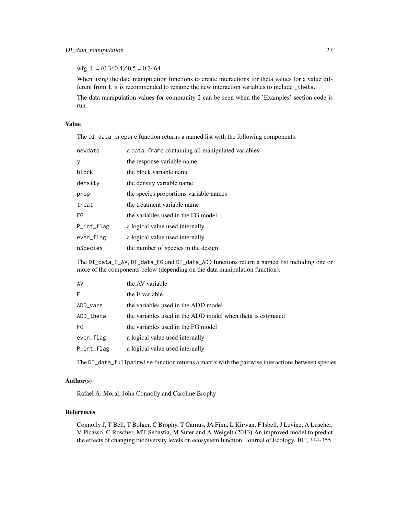$wfg_L = (0.3*0.4)^0.5 = 0.3464$ 

When using the data manipulation functions to create interactions for theta values for a value different from 1, it is recommended to rename the new interaction variables to include \_theta.

The data manipulation values for community 2 can be seen when the 'Examples' section code is run.

### Value

The DI\_data\_prepare function returns a named list with the following components:

| newdata          | a data. frame containing all manipulated variables |
|------------------|----------------------------------------------------|
| у                | the response variable name                         |
| block            | the block variable name                            |
| density          | the density variable name                          |
| prop             | the species proportions variable names             |
| treat            | the treatment variable name                        |
| FG               | the variables used in the FG model                 |
| $P_{init\_flag}$ | a logical value used internally                    |
| even_flag        | a logical value used internally                    |
| nSpecies         | the number of species in the design                |
|                  |                                                    |

The DI\_data\_E\_AV, DI\_data\_FG and DI\_data\_ADD functions return a named list including one or more of the components below (depending on the data manipulation function):

| AV         | the AV variable                                             |
|------------|-------------------------------------------------------------|
| E.         | the E variable                                              |
| ADD_vars   | the variables used in the ADD model                         |
| ADD theta  | the variables used in the ADD model when theta is estimated |
| FG         | the variables used in the FG model                          |
| even_flag  | a logical value used internally                             |
| P_int_flag | a logical value used internally                             |

The DI\_data\_fullpairwise function returns a matrix with the pairwise interactions between species.

### Author(s)

Rafael A. Moral, John Connolly and Caroline Brophy

### References

Connolly J, T Bell, T Bolger, C Brophy, T Carnus, JA Finn, L Kirwan, F Isbell, J Levine, A Lüscher, V Picasso, C Roscher, MT Sebastia, M Suter and A Weigelt (2013) An improved model to predict the effects of changing biodiversity levels on ecosystem function. Journal of Ecology, 101, 344-355.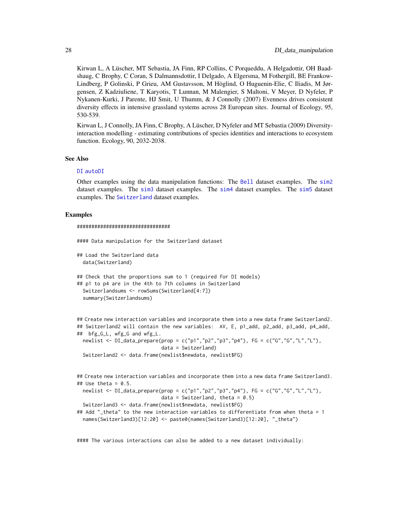<span id="page-27-0"></span>Kirwan L, A Lüscher, MT Sebastia, JA Finn, RP Collins, C Porqueddu, A Helgadottir, OH Baadshaug, C Brophy, C Coran, S Dalmannsdottir, I Delgado, A Elgersma, M Fothergill, BE Frankow-Lindberg, P Golinski, P Grieu, AM Gustavsson, M Höglind, O Huguenin-Elie, C Iliadis, M Jørgensen, Z Kadziuliene, T Karyotis, T Lunnan, M Malengier, S Maltoni, V Meyer, D Nyfeler, P Nykanen-Kurki, J Parente, HJ Smit, U Thumm, & J Connolly (2007) Evenness drives consistent diversity effects in intensive grassland systems across 28 European sites. Journal of Ecology, 95, 530-539.

Kirwan L, J Connolly, JA Finn, C Brophy, A Lüscher, D Nyfeler and MT Sebastia (2009) Diversityinteraction modelling - estimating contributions of species identities and interactions to ecosystem function. Ecology, 90, 2032-2038.

#### See Also

### [DI](#page-17-1) [autoDI](#page-5-1)

Other examples using the data manipulation functions: The [Bell](#page-11-1) dataset examples. The [sim2](#page-31-1) dataset examples. The [sim3](#page-35-1) dataset examples. The [sim4](#page-39-1) dataset examples. The [sim5](#page-43-1) dataset examples. The [Switzerland](#page-46-1) dataset examples.

### Examples

```
################################
```
#### Data manipulation for the Switzerland dataset

## Load the Switzerland data data(Switzerland)

```
## Check that the proportions sum to 1 (required for DI models)
## p1 to p4 are in the 4th to 7th columns in Switzerland
 Switzerlandsums <- rowSums(Switzerland[4:7])
 summary(Switzerlandsums)
```

```
## Create new interaction variables and incorporate them into a new data frame Switzerland2.
## Switzerland2 will contain the new variables: AV, E, p1_add, p2_add, p3_add, p4_add,
## bfg_G_L, wfg_G and wfg_L.
```
newlist <- DI\_data\_prepare(prop = c("p1","p2","p3","p4"), FG = c("G","G","L","L"), data = Switzerland)

```
Switzerland2 <- data.frame(newlist$newdata, newlist$FG)
```

```
## Create new interaction variables and incorporate them into a new data frame Switzerland3.
## Use theta = 0.5.
 newlist <- DI_data_prepare(prop = c("p1","p2","p3","p4"), FG = c("G","G","L","L"),
                             data = Switzerland, theta = 0.5)
 Switzerland3 <- data.frame(newlist$newdata, newlist$FG)
## Add "_theta" to the new interaction variables to differentiate from when theta = 1
 names(Switzerland3)[12:20] <- paste0(names(Switzerland3)[12:20], "_theta")
```
#### The various interactions can also be added to a new dataset individually: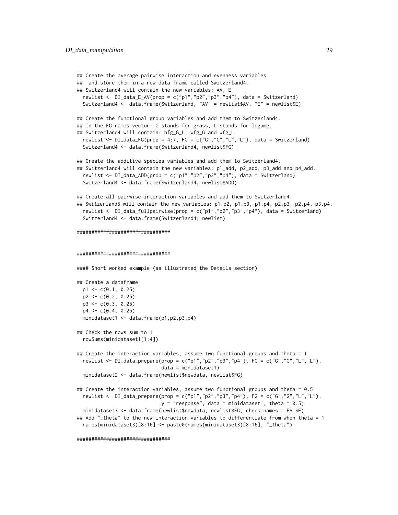```
## Create the average pairwise interaction and evenness variables
## and store them in a new data frame called Switzerland4.
## Switzerland4 will contain the new variables: AV, E
 newlist <- DI_data_E_AV(prop = c("p1","p2","p3","p4"), data = Switzerland)
 Switzerland4 <- data.frame(Switzerland, "AV" = newlist$AV, "E" = newlist$E)
## Create the functional group variables and add them to Switzerland4.
## In the FG names vector: G stands for grass, L stands for legume.
## Switzerland4 will contain: bfg_G_L, wfg_G and wfg_L
 newlist <- DI_data_FG(prop = 4:7, FG = c("G","G","L","L"), data = Switzerland)
 Switzerland4 <- data.frame(Switzerland4, newlist$FG)
## Create the additive species variables and add them to Switzerland4.
## Switzerland4 will contain the new variables: p1_add, p2_add, p3_add and p4_add.
 newlist <- DI_data_ADD(prop = c("p1","p2","p3","p4"), data = Switzerland)
 Switzerland4 <- data.frame(Switzerland4, newlist$ADD)
## Create all pairwise interaction variables and add them to Switzerland4.
## Switzerland5 will contain the new variables: p1.p2, p1.p3, p1.p4, p2.p3, p2.p4, p3.p4.
 newlist <- DI_data_fullpairwise(prop = c("p1","p2","p3","p4"), data = Switzerland)
 Switzerland4 <- data.frame(Switzerland4, newlist)
################################
################################
#### Short worked example (as illustrated the Details section)
## Create a dataframe
 p1 \leftarrow c(0.1, 0.25)p2 \leq -c(0.2, 0.25)p3 \leq c(0.3, 0.25)p4 \leq c(0.4, 0.25)minidataset1 <- data.frame(p1,p2,p3,p4)
## Check the rows sum to 1
  rowSums(minidataset1[1:4])
## Create the interaction variables, assume two functional groups and theta = 1
 newlist <- DI_data_prepare(prop = c("p1","p2","p3","p4"), FG = c("G","G","L","L"),
                             data = minidataset1)
 minidataset2 <- data.frame(newlist$newdata, newlist$FG)
## Create the interaction variables, assume two functional groups and theta = 0.5
 newlist <- DI_data_prepare(prop = c("p1","p2","p3","p4"), FG = c("G","G","L","L"),
                             y = "response", data = minidateset1, theta = 0.5)minidataset3 <- data.frame(newlist$newdata, newlist$FG, check.names = FALSE)
## Add "_theta" to the new interaction variables to differentiate from when theta = 1
 names(minidataset3)[8:16] <- paste0(names(minidataset3)[8:16], "_theta")
```

```
################################
```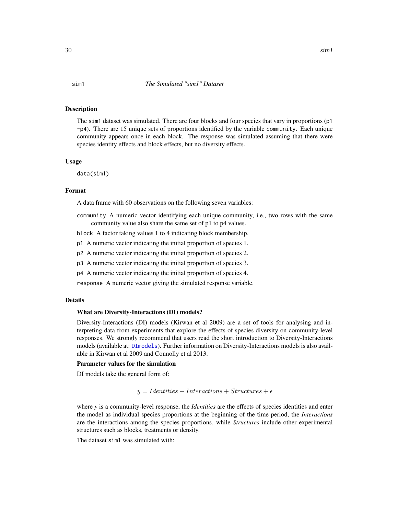### <span id="page-29-1"></span><span id="page-29-0"></span>**Description**

The sim1 dataset was simulated. There are four blocks and four species that vary in proportions (p1) -p4). There are 15 unique sets of proportions identified by the variable community. Each unique community appears once in each block. The response was simulated assuming that there were species identity effects and block effects, but no diversity effects.

### Usage

data(sim1)

### Format

A data frame with 60 observations on the following seven variables:

community A numeric vector identifying each unique community, i.e., two rows with the same community value also share the same set of p1 to p4 values.

block A factor taking values 1 to 4 indicating block membership.

- p1 A numeric vector indicating the initial proportion of species 1.
- p2 A numeric vector indicating the initial proportion of species 2.
- p3 A numeric vector indicating the initial proportion of species 3.

p4 A numeric vector indicating the initial proportion of species 4.

response A numeric vector giving the simulated response variable.

### Details

### What are Diversity-Interactions (DI) models?

Diversity-Interactions (DI) models (Kirwan et al 2009) are a set of tools for analysing and interpreting data from experiments that explore the effects of species diversity on community-level responses. We strongly recommend that users read the short introduction to Diversity-Interactions models (available at: [DImodels](#page-1-1)). Further information on Diversity-Interactions models is also available in Kirwan et al 2009 and Connolly et al 2013.

### Parameter values for the simulation

DI models take the general form of:

 $y = Identities + Interactions + Structures + \epsilon$ 

where *y* is a community-level response, the *Identities* are the effects of species identities and enter the model as individual species proportions at the beginning of the time period, the *Interactions* are the interactions among the species proportions, while *Structures* include other experimental structures such as blocks, treatments or density.

The dataset sim1 was simulated with: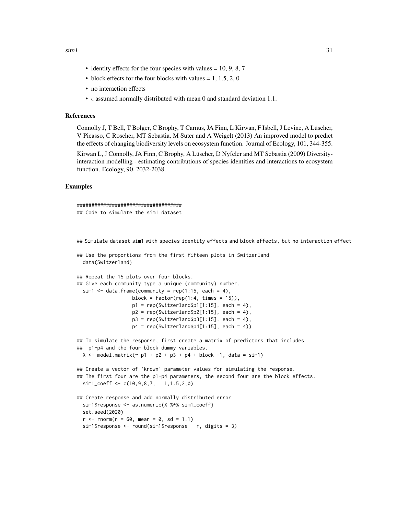- identity effects for the four species with values  $= 10, 9, 8, 7$
- block effects for the four blocks with values  $= 1, 1.5, 2, 0$
- no interaction effects
- $\epsilon$  assumed normally distributed with mean 0 and standard deviation 1.1.

### References

Connolly J, T Bell, T Bolger, C Brophy, T Carnus, JA Finn, L Kirwan, F Isbell, J Levine, A Lüscher, V Picasso, C Roscher, MT Sebastia, M Suter and A Weigelt (2013) An improved model to predict the effects of changing biodiversity levels on ecosystem function. Journal of Ecology, 101, 344-355.

Kirwan L, J Connolly, JA Finn, C Brophy, A Lüscher, D Nyfeler and MT Sebastia (2009) Diversityinteraction modelling - estimating contributions of species identities and interactions to ecosystem function. Ecology, 90, 2032-2038.

### Examples

```
####################################
## Code to simulate the sim1 dataset
```
## Simulate dataset sim1 with species identity effects and block effects, but no interaction effect

```
## Use the proportions from the first fifteen plots in Switzerland
 data(Switzerland)
## Repeat the 15 plots over four blocks.
## Give each community type a unique (community) number.
 sim1 <- data.frame(community = rep(1:15, each = 4),
                  block = factor(rep(1:4, times = 15)),
                  p1 = rep(Switzerland $p1[1:15], each = 4),p2 = rep(Switzerland $p2[1:15], each = 4),p3 = rep(Switzerland $p3[1:15], each = 4),p4 = rep(Switzerland $p4[1:15], each = 4)## To simulate the response, first create a matrix of predictors that includes
## p1-p4 and the four block dummy variables.
 X \le model.matrix(\sim p1 + p2 + p3 + p4 + block -1, data = sim1)
## Create a vector of 'known' parameter values for simulating the response.
## The first four are the p1-p4 parameters, the second four are the block effects.
 sim1_coeff <- c(10,9,8,7, 1,1.5,2,0)
## Create response and add normally distributed error
 sim1$response <- as.numeric(X %*% sim1_coeff)
 set.seed(2020)
 r <- rnorm(n = 60, mean = 0, sd = 1.1)
 sim1$response <- round(sim1$response + r, digits = 3)
```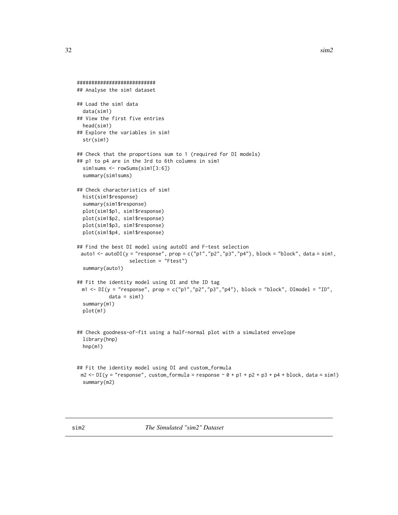```
###########################
## Analyse the sim1 dataset
## Load the sim1 data
 data(sim1)
## View the first five entries
 head(sim1)
## Explore the variables in sim1
 str(sim1)
## Check that the proportions sum to 1 (required for DI models)
## p1 to p4 are in the 3rd to 6th columns in sim1
 sim1sums <- rowSums(sim1[3:6])
 summary(sim1sums)
## Check characteristics of sim1
 hist(sim1$response)
 summary(sim1$response)
 plot(sim1$p1, sim1$response)
 plot(sim1$p2, sim1$response)
 plot(sim1$p3, sim1$response)
 plot(sim1$p4, sim1$response)
## Find the best DI model using autoDI and F-test selection
 auto1 <- autoDI(y = "response", prop = c("p1","p2","p3","p4"), block = "block", data = sim1,
                  selection = "Ftest")
 summary(auto1)
## Fit the identity model using DI and the ID tag
 m1 <- DI(y = "response", prop = c("p1", "p2", "p3", "p4"), block = "block", Dimodel = "ID",data = sim1)summary(m1)
 plot(m1)
## Check goodness-of-fit using a half-normal plot with a simulated envelope
 library(hnp)
 hnp(m1)
## Fit the identity model using DI and custom_formula
 m2 \leftarrow DI(y = "response", customformula = response ~ 0 + p1 + p2 + p3 + p4 + block, data = sim1)summary(m2)
```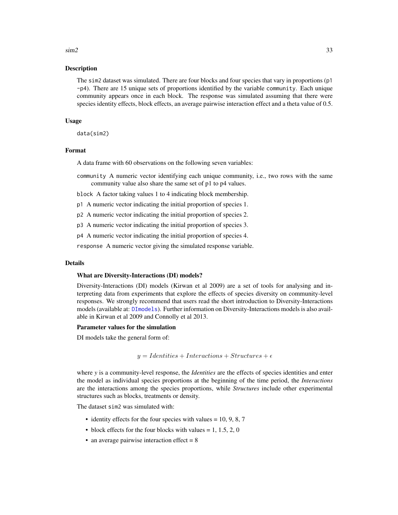### <span id="page-32-0"></span> $\sin 2$  33

### Description

The sim2 dataset was simulated. There are four blocks and four species that vary in proportions (p1 -p4). There are 15 unique sets of proportions identified by the variable community. Each unique community appears once in each block. The response was simulated assuming that there were species identity effects, block effects, an average pairwise interaction effect and a theta value of 0.5.

### Usage

data(sim2)

### Format

A data frame with 60 observations on the following seven variables:

community A numeric vector identifying each unique community, i.e., two rows with the same community value also share the same set of p1 to p4 values.

block A factor taking values 1 to 4 indicating block membership.

p1 A numeric vector indicating the initial proportion of species 1.

p2 A numeric vector indicating the initial proportion of species 2.

p3 A numeric vector indicating the initial proportion of species 3.

p4 A numeric vector indicating the initial proportion of species 4.

response A numeric vector giving the simulated response variable.

### Details

### What are Diversity-Interactions (DI) models?

Diversity-Interactions (DI) models (Kirwan et al 2009) are a set of tools for analysing and interpreting data from experiments that explore the effects of species diversity on community-level responses. We strongly recommend that users read the short introduction to Diversity-Interactions models (available at: [DImodels](#page-1-1)). Further information on Diversity-Interactions models is also available in Kirwan et al 2009 and Connolly et al 2013.

### Parameter values for the simulation

DI models take the general form of:

 $y = Identities + Interactions + Structures + \epsilon$ 

where *y* is a community-level response, the *Identities* are the effects of species identities and enter the model as individual species proportions at the beginning of the time period, the *Interactions* are the interactions among the species proportions, while *Structures* include other experimental structures such as blocks, treatments or density.

The dataset sim2 was simulated with:

- identity effects for the four species with values  $= 10, 9, 8, 7$
- block effects for the four blocks with values  $= 1, 1.5, 2, 0$
- an average pairwise interaction effect  $= 8$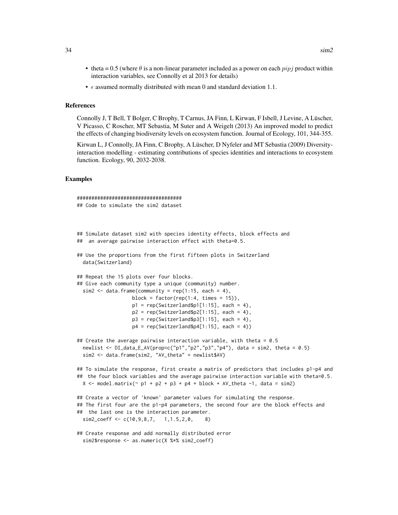- theta = 0.5 (where  $\theta$  is a non-linear parameter included as a power on each  $pipj$  product within interaction variables, see Connolly et al 2013 for details)
- $\epsilon$  assumed normally distributed with mean 0 and standard deviation 1.1.

### References

Connolly J, T Bell, T Bolger, C Brophy, T Carnus, JA Finn, L Kirwan, F Isbell, J Levine, A Lüscher, V Picasso, C Roscher, MT Sebastia, M Suter and A Weigelt (2013) An improved model to predict the effects of changing biodiversity levels on ecosystem function. Journal of Ecology, 101, 344-355.

Kirwan L, J Connolly, JA Finn, C Brophy, A Lüscher, D Nyfeler and MT Sebastia (2009) Diversityinteraction modelling - estimating contributions of species identities and interactions to ecosystem function. Ecology, 90, 2032-2038.

### Examples

```
####################################
## Code to simulate the sim2 dataset
## Simulate dataset sim2 with species identity effects, block effects and
## an average pairwise interaction effect with theta=0.5.
## Use the proportions from the first fifteen plots in Switzerland
 data(Switzerland)
## Repeat the 15 plots over four blocks.
## Give each community type a unique (community) number.
 sim2 < data.frame(community = rep(1:15, each = 4),
                   block = factor(rep(1:4, times = 15)),
                   p1 = rep(Switzerland $p1[1:15], each = 4),p2 = rep(Switzerland $p2[1:15], each = 4),p3 = rep(Switzerland $p3[1:15], each = 4),p4 = rep(Switzerland $p4[1:15], each = 4)## Create the average pairwise interaction variable, with theta = 0.5
 newlist <- DI_data_E_AV(prop=c("p1","p2","p3","p4"), data = sim2, theta = 0.5)
 sim2 <- data.frame(sim2, "AV_theta" = newlist$AV)
## To simulate the response, first create a matrix of predictors that includes p1-p4 and
## the four block variables and the average pairwise interaction variable with theta=0.5.
 X \le - model.matrix(\sim p1 + p2 + p3 + p4 + block + AV_theta -1, data = sim2)
## Create a vector of 'known' parameter values for simulating the response.
## The first four are the p1-p4 parameters, the second four are the block effects and
## the last one is the interaction parameter.
 sim2_{core} \leftarrow c(10, 9, 8, 7, 1, 1.5, 2, 0, 8)## Create response and add normally distributed error
 sim2$response <- as.numeric(X %*% sim2_coeff)
```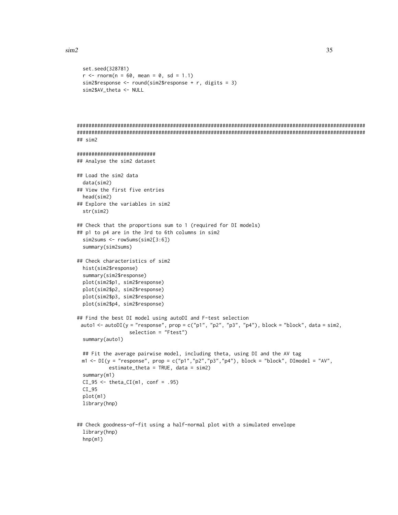```
set.seed(328781)
 r <- rnorm(n = 60, mean = 0, sd = 1.1)
 sim2$response <- round(sim2$response + r, digits = 3)
 sim2$AV_theta <- NULL
###################################################################################################
###################################################################################################
## sim2
###########################
## Analyse the sim2 dataset
## Load the sim2 data
 data(sim2)
## View the first five entries
 head(sim2)
## Explore the variables in sim2
 str(sim2)
## Check that the proportions sum to 1 (required for DI models)
## p1 to p4 are in the 3rd to 6th columns in sim2
 sim2sums <- rowSums(sim2[3:6])
 summary(sim2sums)
## Check characteristics of sim2
 hist(sim2$response)
 summary(sim2$response)
 plot(sim2$p1, sim2$response)
 plot(sim2$p2, sim2$response)
 plot(sim2$p3, sim2$response)
 plot(sim2$p4, sim2$response)
## Find the best DI model using autoDI and F-test selection
 auto1 <- autoDI(y = "response", prop = c("p1", "p2", "p3", "p4"), block = "block", data = sim2,
                  selection = "Ftest")
 summary(auto1)
 ## Fit the average pairwise model, including theta, using DI and the AV tag
 m1 <- DI(y = "response", prop = c("p1", "p2", "p3", "p4"), block = "block", DImodel = "AV",estimate_theta = TRUE, data = sim2)
 summary(m1)
 CI_95 \leftarrow \text{theta_CI(m1, conf = .95)}CI_95
 plot(m1)
 library(hnp)
## Check goodness-of-fit using a half-normal plot with a simulated envelope
```
library(hnp) hnp(m1)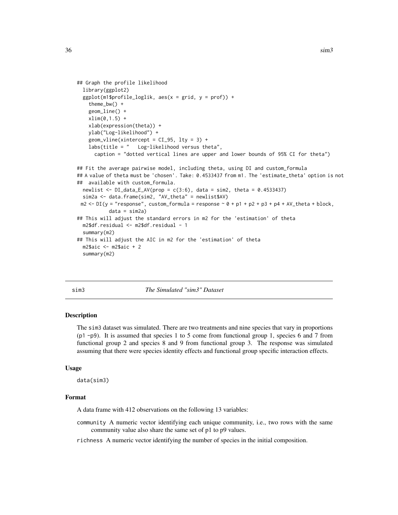```
## Graph the profile likelihood
 library(ggplot2)
 ggplot(m1$profile_loglik, aes(x = grid, y = prof)) +theme_bw() +
   geom_line() +
   xlim(0,1.5) +xlab(expression(theta)) +
   ylab("Log-likelihood") +
    geom\_vline(xintercept = CI_95, 1ty = 3) +labs(title = " Log-likelihood versus theta",
      caption = "dotted vertical lines are upper and lower bounds of 95% CI for theta")
## Fit the average pairwise model, including theta, using DI and custom_formula
## A value of theta must be 'chosen'. Take: 0.4533437 from m1. The 'estimate_theta' option is not
## available with custom_formula.
 newlist \leq DI_data_E_AV(prop = c(3:6), data = sim2, theta = 0.4533437)
 sim2a <- data.frame(sim2, "AV_theta" = newlist$AV)
 m2 <- DI(y = "response", custom-formula = response ~ 0 + p1 + p2 + p3 + p4 + AV_theta + block,data = sim2a)## This will adjust the standard errors in m2 for the 'estimation' of theta
 m2$df.residual <- m2$df.residual - 1
 summary(m2)
## This will adjust the AIC in m2 for the 'estimation' of theta
 m2$aic <- m2$aic + 2
  summary(m2)
```
<span id="page-35-1"></span>

sim3 *The Simulated "sim3" Dataset*

### **Description**

The sim3 dataset was simulated. There are two treatments and nine species that vary in proportions  $(p1 - p9)$ . It is assumed that species 1 to 5 come from functional group 1, species 6 and 7 from functional group 2 and species 8 and 9 from functional group 3. The response was simulated assuming that there were species identity effects and functional group specific interaction effects.

### Usage

data(sim3)

### Format

A data frame with 412 observations on the following 13 variables:

community A numeric vector identifying each unique community, i.e., two rows with the same community value also share the same set of p1 to p9 values.

richness A numeric vector identifying the number of species in the initial composition.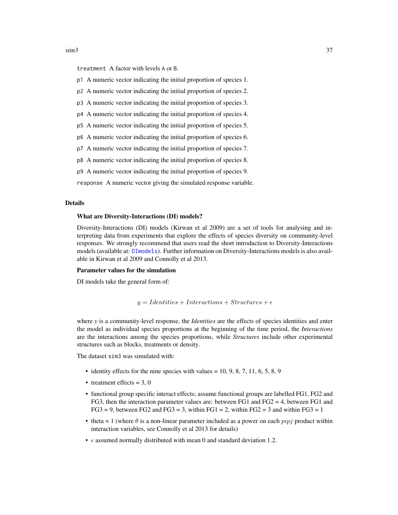<span id="page-36-0"></span>treatment A factor with levels A or B.

- p1 A numeric vector indicating the initial proportion of species 1.
- p2 A numeric vector indicating the initial proportion of species 2.
- p3 A numeric vector indicating the initial proportion of species 3.
- p4 A numeric vector indicating the initial proportion of species 4.
- p5 A numeric vector indicating the initial proportion of species 5.
- p6 A numeric vector indicating the initial proportion of species 6.
- p7 A numeric vector indicating the initial proportion of species 7.
- p8 A numeric vector indicating the initial proportion of species 8.
- p9 A numeric vector indicating the initial proportion of species 9.

response A numeric vector giving the simulated response variable.

### Details

### What are Diversity-Interactions (DI) models?

Diversity-Interactions (DI) models (Kirwan et al 2009) are a set of tools for analysing and interpreting data from experiments that explore the effects of species diversity on community-level responses. We strongly recommend that users read the short introduction to Diversity-Interactions models (available at: [DImodels](#page-1-1)). Further information on Diversity-Interactions models is also available in Kirwan et al 2009 and Connolly et al 2013.

### Parameter values for the simulation

DI models take the general form of:

$$
y = Identities + Interactions + Structures + \epsilon
$$

where *y* is a community-level response, the *Identities* are the effects of species identities and enter the model as individual species proportions at the beginning of the time period, the *Interactions* are the interactions among the species proportions, while *Structures* include other experimental structures such as blocks, treatments or density.

The dataset  $\sin 3$  was simulated with:

- identity effects for the nine species with values =  $10, 9, 8, 7, 11, 6, 5, 8, 9$
- treatment effects  $= 3, 0$
- functional group specific interact effects; assume functional groups are labelled FG1, FG2 and FG3, then the interaction parameter values are: between FG1 and FG2 = 4, between FG1 and  $FG3 = 9$ , between  $FG2$  and  $FG3 = 3$ , within  $FG1 = 2$ , within  $FG2 = 3$  and within  $FG3 = 1$
- theta = 1 (where  $\theta$  is a non-linear parameter included as a power on each  $pipj$  product within interaction variables, see Connolly et al 2013 for details)
- $\epsilon$  assumed normally distributed with mean 0 and standard deviation 1.2.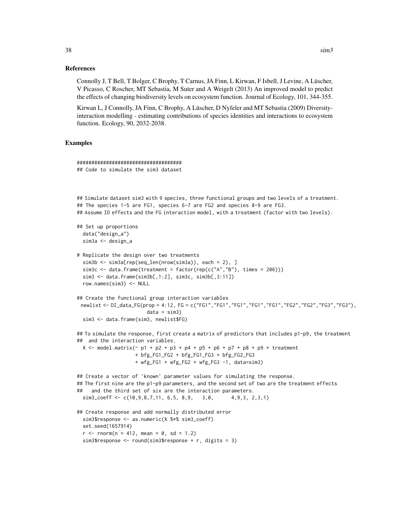### References

Connolly J, T Bell, T Bolger, C Brophy, T Carnus, JA Finn, L Kirwan, F Isbell, J Levine, A Lüscher, V Picasso, C Roscher, MT Sebastia, M Suter and A Weigelt (2013) An improved model to predict the effects of changing biodiversity levels on ecosystem function. Journal of Ecology, 101, 344-355.

Kirwan L, J Connolly, JA Finn, C Brophy, A Lüscher, D Nyfeler and MT Sebastia (2009) Diversityinteraction modelling - estimating contributions of species identities and interactions to ecosystem function. Ecology, 90, 2032-2038.

### Examples

```
####################################
## Code to simulate the sim3 dataset
## Simulate dataset sim3 with 9 species, three functional groups and two levels of a treatment.
## The species 1-5 are FG1, species 6-7 are FG2 and species 8-9 are FG3.
## Assume ID effects and the FG interaction model, with a treatment (factor with two levels).
## Set up proportions
 data("design_a")
 sim3a <- design_a
# Replicate the design over two treatments
 sim3b <- sim3a[rep(seq_len(nrow(sim3a)), each = 2), ]
 sim3c \leq data.frame(treatment = factor(rep(c("A","B"), times = 206)))
 sim3 <- data.frame(sim3b[,1:2], sim3c, sim3b[,3:11])
 row.names(sim3) <- NULL
## Create the functional group interaction variables
 newlist <- DI_data_FG(prop = 4:12, FG = c("FG1","FG1","FG1","FG1","FG1","FG2","FG2","FG3","FG3"),
                        data = sim3)sim3 <- data.frame(sim3, newlist$FG)
## To simulate the response, first create a matrix of predictors that includes p1-p9, the treatment
## and the interaction variables.
 X <- model.matrix(\sim p1 + p2 + p3 + p4 + p5 + p6 + p7 + p8 + p9 + treatment
                    + bfg_FG1_FG2 + bfg_FG1_FG3 + bfg_FG2_FG3
                    + wfg_FG1 + wfg_FG2 + wfg_FG3 -1, data=sim3)
## Create a vector of 'known' parameter values for simulating the response.
## The first nine are the p1-p9 parameters, and the second set of two are the treatment effects
## and the third set of six are the interaction parameters.
 sim3_coeff <- c(10,9,8,7,11, 6,5, 8,9, 3,0, 4,9,3, 2,3,1)
## Create response and add normally distributed error
 sim3$response <- as.numeric(X %*% sim3_coeff)
 set.seed(1657914)
 r < - rnorm(n = 412, mean = 0, sd = 1.2)
 sim3$response <- round(sim3$response + r, digits = 3)
```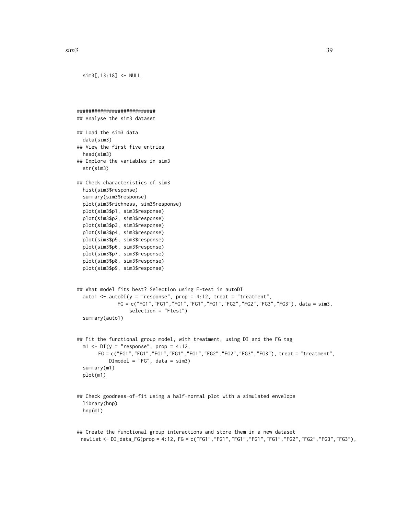```
\sin 3 39
```
sim3[,13:18] <- NULL

```
###########################
## Analyse the sim3 dataset
## Load the sim3 data
 data(sim3)
## View the first five entries
 head(sim3)
## Explore the variables in sim3
 str(sim3)
## Check characteristics of sim3
 hist(sim3$response)
 summary(sim3$response)
 plot(sim3$richness, sim3$response)
 plot(sim3$p1, sim3$response)
 plot(sim3$p2, sim3$response)
 plot(sim3$p3, sim3$response)
 plot(sim3$p4, sim3$response)
 plot(sim3$p5, sim3$response)
 plot(sim3$p6, sim3$response)
 plot(sim3$p7, sim3$response)
 plot(sim3$p8, sim3$response)
 plot(sim3$p9, sim3$response)
## What model fits best? Selection using F-test in autoDI
 auto1 <- autoDI(y = "response", prop = 4:12, treat = "treatment",FG = c("FG1","FG1","FG1","FG1","FG1","FG2","FG2","FG3","FG3"), data = sim3,
                  selection = "Ftest")
 summary(auto1)
## Fit the functional group model, with treatment, using DI and the FG tag
 m1 \leq D I(y = "response", prop = 4:12,FG = c("FG1","FG1","FG1","FG1","FG1","FG2","FG2","FG3","FG3"), treat = "treatment",
           DImodel = "FG", data = sim3)
 summary(m1)
 plot(m1)
## Check goodness-of-fit using a half-normal plot with a simulated envelope
 library(hnp)
 hnp(m1)
```
## Create the functional group interactions and store them in a new dataset newlist <- DI\_data\_FG(prop = 4:12, FG = c("FG1","FG1","FG1","FG1","FG1","FG2","FG2","FG3","FG3"),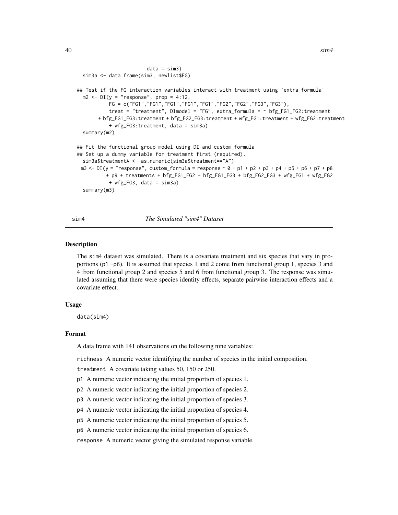```
data = sim3)sim3a <- data.frame(sim3, newlist$FG)
## Test if the FG interaction variables interact with treatment using 'extra_formula'
 m2 \leq -DI(y = "response", prop = 4:12,FG = c("FG1","FG1","FG1","FG1","FG1","FG2","FG2","FG3","FG3"),
           treat = "treatment", DImodel = "FG", extra_formula = ~ bfg_FG1_FG2:treatment
       + bfg_FG1_FG3:treatment + bfg_FG2_FG3:treatment + wfg_FG1:treatment + wfg_FG2:treatment
          + wfg_FG3:treatment, data = sim3a)
 summary(m2)
## Fit the functional group model using DI and custom_formula
## Set up a dummy variable for treatment first (required).
 sim3a$treatmentA <- as.numeric(sim3a$treatment=="A")
 m3 <- DI(y = "response", customformula = response ~ 0 + p1 + p2 + p3 + p4 + p5 + p6 + p7 + p8+ p9 + treatmentA + bfg_FG1_FG2 + bfg_FG1_FG3 + bfg_FG2_FG3 + wfg_FG1 + wfg_FG2
          + wfg_FG3, data = sim3a)
 summary(m3)
```
<span id="page-39-1"></span>sim4 *The Simulated "sim4" Dataset*

### **Description**

The sim4 dataset was simulated. There is a covariate treatment and six species that vary in proportions (p1 -p6). It is assumed that species 1 and 2 come from functional group 1, species 3 and 4 from functional group 2 and species 5 and 6 from functional group 3. The response was simulated assuming that there were species identity effects, separate pairwise interaction effects and a covariate effect.

### Usage

data(sim4)

### Format

A data frame with 141 observations on the following nine variables:

richness A numeric vector identifying the number of species in the initial composition.

treatment A covariate taking values 50, 150 or 250.

- p1 A numeric vector indicating the initial proportion of species 1.
- p2 A numeric vector indicating the initial proportion of species 2.
- p3 A numeric vector indicating the initial proportion of species 3.
- p4 A numeric vector indicating the initial proportion of species 4.
- p5 A numeric vector indicating the initial proportion of species 5.
- p6 A numeric vector indicating the initial proportion of species 6.

response A numeric vector giving the simulated response variable.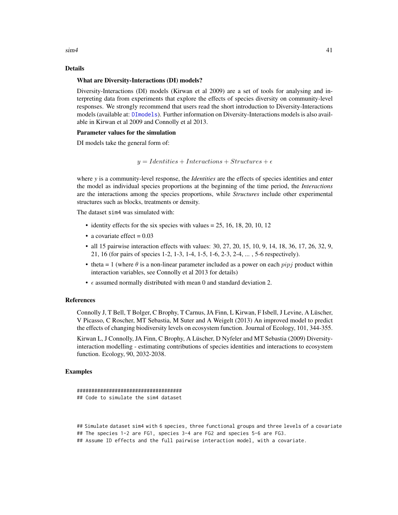<span id="page-40-0"></span> $\sin 4$  41

### Details

### What are Diversity-Interactions (DI) models?

Diversity-Interactions (DI) models (Kirwan et al 2009) are a set of tools for analysing and interpreting data from experiments that explore the effects of species diversity on community-level responses. We strongly recommend that users read the short introduction to Diversity-Interactions models (available at: [DImodels](#page-1-1)). Further information on Diversity-Interactions models is also available in Kirwan et al 2009 and Connolly et al 2013.

### Parameter values for the simulation

DI models take the general form of:

```
y = Identities + Interactions + Structures + \epsilon
```
where *y* is a community-level response, the *Identities* are the effects of species identities and enter the model as individual species proportions at the beginning of the time period, the *Interactions* are the interactions among the species proportions, while *Structures* include other experimental structures such as blocks, treatments or density.

The dataset sim4 was simulated with:

- identity effects for the six species with values  $= 25, 16, 18, 20, 10, 12$
- a covariate effect  $= 0.03$
- all 15 pairwise interaction effects with values: 30, 27, 20, 15, 10, 9, 14, 18, 36, 17, 26, 32, 9, 21, 16 (for pairs of species 1-2, 1-3, 1-4, 1-5, 1-6, 2-3, 2-4, ... , 5-6 respectively).
- theta = 1 (where  $\theta$  is a non-linear parameter included as a power on each  $pipj$  product within interaction variables, see Connolly et al 2013 for details)
- $\epsilon$  assumed normally distributed with mean 0 and standard deviation 2.

### References

Connolly J, T Bell, T Bolger, C Brophy, T Carnus, JA Finn, L Kirwan, F Isbell, J Levine, A Lüscher, V Picasso, C Roscher, MT Sebastia, M Suter and A Weigelt (2013) An improved model to predict the effects of changing biodiversity levels on ecosystem function. Journal of Ecology, 101, 344-355.

Kirwan L, J Connolly, JA Finn, C Brophy, A Lüscher, D Nyfeler and MT Sebastia (2009) Diversityinteraction modelling - estimating contributions of species identities and interactions to ecosystem function. Ecology, 90, 2032-2038.

### Examples

```
####################################
## Code to simulate the sim4 dataset
```
## Simulate dataset sim4 with 6 species, three functional groups and three levels of a covariate ## The species 1-2 are FG1, species 3-4 are FG2 and species 5-6 are FG3. ## Assume ID effects and the full pairwise interaction model, with a covariate.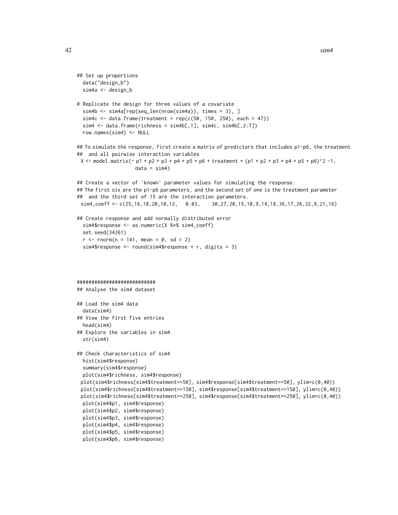$42$  sim4

```
## Set up proportions
 data("design_b")
 sim4a <- design_b
# Replicate the design for three values of a covariate
 sim4b <- sim4a[rep(seq_len(nrow(sim4a)), times = 3), ]
 sim4c \leq data.frame(treatment = rep(c(50, 150, 250), each = 47))
 sim4 <- data.frame(richness = sim4b[,1], sim4c, sim4b[,2:7])
 row.names(sim4) <- NULL
## To simulate the response, first create a matrix of predictors that includes p1-p6, the treatment
## and all pairwise interaction variables
 X \le model.matrix(\sim p1 + p2 + p3 + p4 + p5 + p6 + treatment + (p1 + p2 + p3 + p4 + p5 + p6)^2 -1,
                    data = sim4)## Create a vector of 'known' parameter values for simulating the response.
## The first six are the p1-p6 parameters, and the second set of one is the treatment parameter
## and the third set of 15 are the interaction parameters.
 sim4_coeff <- c(25,16,18,20,10,12, 0.03, 30,27,20,15,10,9,14,18,36,17,26,32,9,21,16)
## Create response and add normally distributed error
 sim4$response <- as.numeric(X %*% sim4_coeff)
 set.seed(34261)
 r <- rnorm(n = 141, mean = 0, sd = 2)
  sim4$response <- round(sim4$response + r, digits = 3)
###########################
## Analyse the sim4 dataset
## Load the sim4 data
 data(sim4)
## View the first five entries
 head(sim4)
## Explore the variables in sim4
 str(sim4)
## Check characteristics of sim4
 hist(sim4$response)
 summary(sim4$response)
 plot(sim4$richness, sim4$response)
 plot(sim4$richness[sim4$treatment==50], sim4$response[sim4$treatment==50], ylim=c(0,40))
 plot(sim4$richness[sim4$treatment==150], sim4$response[sim4$treatment==150], ylim=c(0,40))
 plot(sim4$richness[sim4$treatment==250], sim4$response[sim4$treatment==250], ylim=c(0,40))
 plot(sim4$p1, sim4$response)
 plot(sim4$p2, sim4$response)
 plot(sim4$p3, sim4$response)
 plot(sim4$p4, sim4$response)
 plot(sim4$p5, sim4$response)
 plot(sim4$p6, sim4$response)
```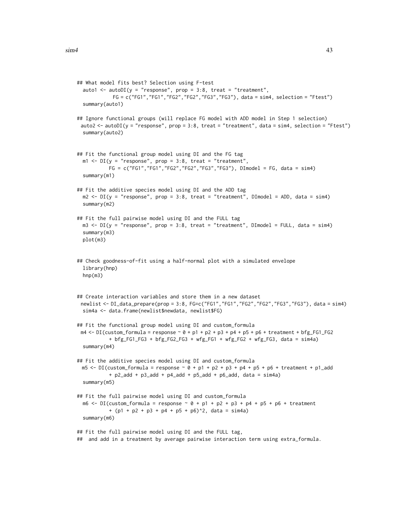```
## What model fits best? Selection using F-test
 auto1 <- autoDI(y = "response", prop = 3:8, treat = "treatment",FG = c("FG1","FG1","FG2","FG2","FG3","FG3"), data = sim4, selection = "Ftest")
 summary(auto1)
## Ignore functional groups (will replace FG model with ADD model in Step 1 selection)
 auto2 <- autoDI(y = "response", prop = 3:8, treat = "treatment", data = sim4, selection = "Ftest")summary(auto2)
## Fit the functional group model using DI and the FG tag
 m1 <- DI(y = "response", prop = 3:8, treat = "treatment",FG = c("FG1","FG1","FG2","FG2","FG3","FG3"), DImodel = FG, data = sim4)
 summary(m1)
## Fit the additive species model using DI and the ADD tag
 m2 \le -DI(y = "response", prop = 3:8, treat = "treatment", DImodel = ADD, data = sim4)summary(m2)
## Fit the full pairwise model using DI and the FULL tag
 m3 <- DI(y = "response", prop = 3:8, treat = "treatment", DImodel = FULL, data = sim4)summary(m3)
 plot(m3)
## Check goodness-of-fit using a half-normal plot with a simulated envelope
 library(hnp)
 hnp(m3)
## Create interaction variables and store them in a new dataset
 newlist <- DI_data_prepare(prop = 3:8, FG=c("FG1","FG1","FG2","FG2","FG3","FG3"), data = sim4)
 sim4a <- data.frame(newlist$newdata, newlist$FG)
## Fit the functional group model using DI and custom_formula
 m4 \leq -DI(custom_formula = response \sim \theta + p1 + p2 + p3 + p4 + p5 + p6 + treatment + bfg_FG1_FG2
           + bfg_FG1_FG3 + bfg_FG2_FG3 + wfg_FG1 + wfg_FG2 + wfg_FG3, data = sim4a)
 summary(m4)
## Fit the additive species model using DI and custom_formula
 m5 <- DI(custom_formula = response \sim 0 + p1 + p2 + p3 + p4 + p5 + p6 + treatment + p1_add
           + p2_add + p3_add + p4_add + p5_add + p6_add, data = sim4a)
 summary(m5)
## Fit the full pairwise model using DI and custom_formula
 m6 \leq D1(custom_formula = response \sim 0 + p1 + p2 + p3 + p4 + p5 + p6 + t reatment
           + (p1 + p2 + p3 + p4 + p5 + p6)^2, data = sim4a)
 summary(m6)
## Fit the full pairwise model using DI and the FULL tag,
## and add in a treatment by average pairwise interaction term using extra_formula.
```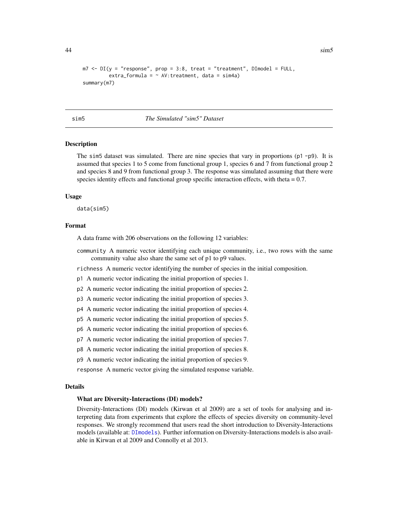```
m7 \leq D I(y = "response", prop = 3:8, treat = "treatment", DImodel = FULL,extra_formula = \sim AV: treatment, data = sim4a)
summary(m7)
```
<span id="page-43-1"></span>sim5 *The Simulated "sim5" Dataset*

### **Description**

The sim5 dataset was simulated. There are nine species that vary in proportions (p1 -p9). It is assumed that species 1 to 5 come from functional group 1, species 6 and 7 from functional group 2 and species 8 and 9 from functional group 3. The response was simulated assuming that there were species identity effects and functional group specific interaction effects, with theta = 0.7.

### Usage

data(sim5)

### Format

A data frame with 206 observations on the following 12 variables:

community A numeric vector identifying each unique community, i.e., two rows with the same community value also share the same set of p1 to p9 values.

richness A numeric vector identifying the number of species in the initial composition.

p1 A numeric vector indicating the initial proportion of species 1.

- p2 A numeric vector indicating the initial proportion of species 2.
- p3 A numeric vector indicating the initial proportion of species 3.
- p4 A numeric vector indicating the initial proportion of species 4.
- p5 A numeric vector indicating the initial proportion of species 5.
- p6 A numeric vector indicating the initial proportion of species 6.
- p7 A numeric vector indicating the initial proportion of species 7.
- p8 A numeric vector indicating the initial proportion of species 8.
- p9 A numeric vector indicating the initial proportion of species 9.

response A numeric vector giving the simulated response variable.

### Details

### What are Diversity-Interactions (DI) models?

Diversity-Interactions (DI) models (Kirwan et al 2009) are a set of tools for analysing and interpreting data from experiments that explore the effects of species diversity on community-level responses. We strongly recommend that users read the short introduction to Diversity-Interactions models (available at: [DImodels](#page-1-1)). Further information on Diversity-Interactions models is also available in Kirwan et al 2009 and Connolly et al 2013.

<span id="page-43-0"></span>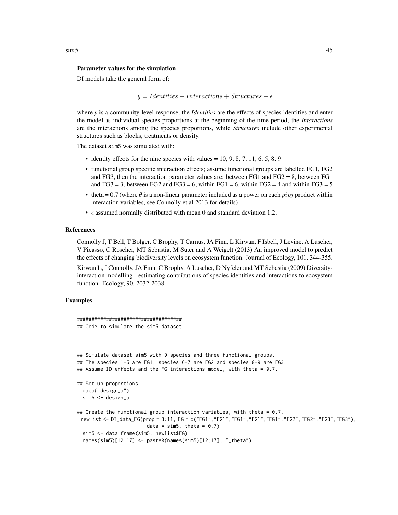### Parameter values for the simulation

DI models take the general form of:

 $y = Identities + Interactions + Structures + \epsilon$ 

where *y* is a community-level response, the *Identities* are the effects of species identities and enter the model as individual species proportions at the beginning of the time period, the *Interactions* are the interactions among the species proportions, while *Structures* include other experimental structures such as blocks, treatments or density.

The dataset sim5 was simulated with:

- identity effects for the nine species with values  $= 10, 9, 8, 7, 11, 6, 5, 8, 9$
- functional group specific interaction effects; assume functional groups are labelled FG1, FG2 and FG3, then the interaction parameter values are: between FG1 and FG2 = 8, between FG1 and  $FG3 = 3$ , between  $FG2$  and  $FG3 = 6$ , within  $FG1 = 6$ , within  $FG2 = 4$  and within  $FG3 = 5$
- theta = 0.7 (where  $\theta$  is a non-linear parameter included as a power on each  $pipj$  product within interaction variables, see Connolly et al 2013 for details)
- $\epsilon$  assumed normally distributed with mean 0 and standard deviation 1.2.

### References

Connolly J, T Bell, T Bolger, C Brophy, T Carnus, JA Finn, L Kirwan, F Isbell, J Levine, A Lüscher, V Picasso, C Roscher, MT Sebastia, M Suter and A Weigelt (2013) An improved model to predict the effects of changing biodiversity levels on ecosystem function. Journal of Ecology, 101, 344-355.

Kirwan L, J Connolly, JA Finn, C Brophy, A Lüscher, D Nyfeler and MT Sebastia (2009) Diversityinteraction modelling - estimating contributions of species identities and interactions to ecosystem function. Ecology, 90, 2032-2038.

### Examples

```
####################################
## Code to simulate the sim5 dataset
## Simulate dataset sim5 with 9 species and three functional groups.
## The species 1-5 are FG1, species 6-7 are FG2 and species 8-9 are FG3.
## Assume ID effects and the FG interactions model, with theta = 0.7.
## Set up proportions
 data("design_a")
 sim5 <- design_a
## Create the functional group interaction variables, with theta = 0.7.
 newlist <- DI_data_FG(prop = 3:11, FG = c("FG1","FG1","FG1","FG1","FG1","FG2","FG2","FG3","FG3"),
                        data = sim5, theta = 0.7)
 sim5 <- data.frame(sim5, newlist$FG)
 names(sim5)[12:17] <- paste0(names(sim5)[12:17], "_theta")
```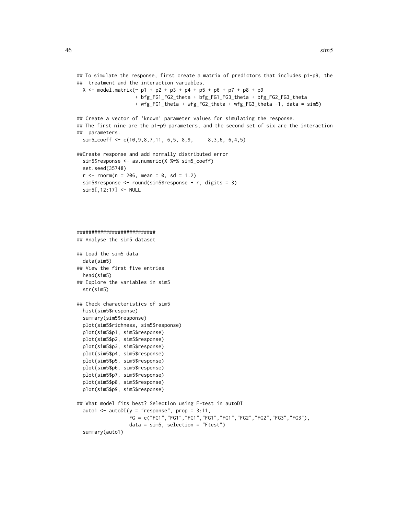```
## To simulate the response, first create a matrix of predictors that includes p1-p9, the
## treatment and the interaction variables.
 X \le model.matrix(\sim p1 + p2 + p3 + p4 + p5 + p6 + p7 + p8 + p9
                    + bfg_FG1_FG2_theta + bfg_FG1_FG3_theta + bfg_FG2_FG3_theta
                    + wfg_FG1_theta + wfg_FG2_theta + wfg_FG3_theta -1, data = sim5)
## Create a vector of 'known' parameter values for simulating the response.
## The first nine are the p1-p9 parameters, and the second set of six are the interaction
## parameters.
 sim5\_\text{coeff} \leftarrow c(10, 9, 8, 7, 11, 6, 5, 8, 9, 8, 3, 6, 6, 4, 5)##Create response and add normally distributed error
 sim5$response <- as.numeric(X %*% sim5_coeff)
 set.seed(35748)
 r <- rnorm(n = 206, mean = 0, sd = 1.2)
 sim5$response <- round(sim5$response + r, digits = 3)
 sim5[,12:17] <- NULL
###########################
## Analyse the sim5 dataset
## Load the sim5 data
 data(sim5)
## View the first five entries
 head(sim5)
## Explore the variables in sim5
 str(sim5)
## Check characteristics of sim5
 hist(sim5$response)
 summary(sim5$response)
 plot(sim5$richness, sim5$response)
 plot(sim5$p1, sim5$response)
 plot(sim5$p2, sim5$response)
 plot(sim5$p3, sim5$response)
 plot(sim5$p4, sim5$response)
 plot(sim5$p5, sim5$response)
 plot(sim5$p6, sim5$response)
 plot(sim5$p7, sim5$response)
 plot(sim5$p8, sim5$response)
 plot(sim5$p9, sim5$response)
## What model fits best? Selection using F-test in autoDI
  auto1 <- autoDI(y = "response", prop = 3:11,FG = c("FG1","FG1","FG1","FG1","FG1","FG2","FG2","FG3","FG3"),
                  data = sim5, selection = "Ftest")
  summary(auto1)
```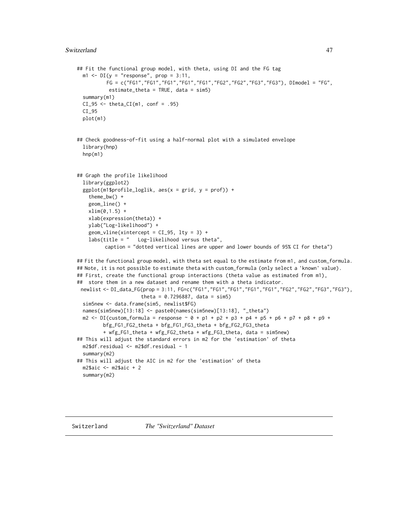```
## Fit the functional group model, with theta, using DI and the FG tag
 m1 \leq -DI(y = "response", prop = 3:11,FG = c("FG1","FG1","FG1","FG1","FG1","FG2","FG2","FG3","FG3"), DImodel = "FG",
           estimate_theta = TRUE, data = sim5)
 summary(m1)
 CI_95 \leftarrow \text{theta_CI(m1, conf = .95)}CI_95
 plot(m1)
## Check goodness-of-fit using a half-normal plot with a simulated envelope
 library(hnp)
 hnp(m1)
## Graph the profile likelihood
 library(ggplot2)
 ggplot(m1$profile_loglik, aes(x = grid, y = prof)) +theme_bw() +
   geom_line() +
   xlim(0,1.5) +
   xlab(expression(theta)) +
   ylab("Log-likelihood") +
   geom\_vline(xintercept = CI_95, 1ty = 3) +labs(title = " Log-likelihood versus theta",
         caption = "dotted vertical lines are upper and lower bounds of 95% CI for theta")
## Fit the functional group model, with theta set equal to the estimate from m1, and custom_formula.
## Note, it is not possible to estimate theta with custom_formula (only select a 'known' value).
## First, create the functional group interactions (theta value as estimated from m1),
## store them in a new dataset and rename them with a theta indicator.
newlist <- DI_data_FG(prop = 3:11, FG=c("FG1","FG1","FG1","FG1","FG1","FG2","FG2","FG3","FG3"),
                      theta = 0.7296887, data = sim5)
 sim5new <- data.frame(sim5, newlist$FG)
 names(sim5new)[13:18] <- paste0(names(sim5new)[13:18], "_theta")
 m2 <- DI(custom_formula = response \sim 0 + p1 + p2 + p3 + p4 + p5 + p6 + p7 + p8 + p9 +
        bfg_FG1_FG2_theta + bfg_FG1_FG3_theta + bfg_FG2_FG3_theta
         + wfg_FG1_theta + wfg_FG2_theta + wfg_FG3_theta, data = sim5new)
## This will adjust the standard errors in m2 for the 'estimation' of theta
 m2$df.residual <- m2$df.residual - 1
 summary(m2)
## This will adjust the AIC in m2 for the 'estimation' of theta
 m2$aic <- m2$aic + 2
 summary(m2)
```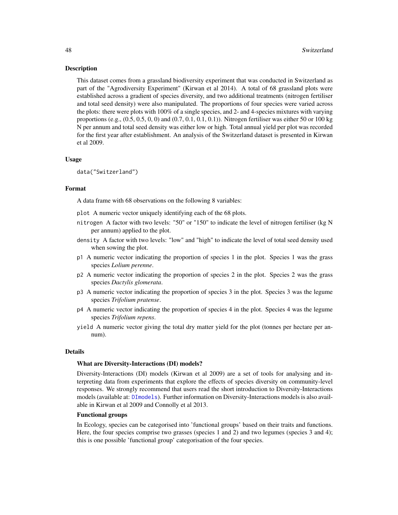### <span id="page-47-0"></span>**Description**

This dataset comes from a grassland biodiversity experiment that was conducted in Switzerland as part of the "Agrodiversity Experiment" (Kirwan et al 2014). A total of 68 grassland plots were established across a gradient of species diversity, and two additional treatments (nitrogen fertiliser and total seed density) were also manipulated. The proportions of four species were varied across the plots: there were plots with 100% of a single species, and 2- and 4-species mixtures with varying proportions (e.g.,  $(0.5, 0.5, 0, 0)$  and  $(0.7, 0.1, 0.1, 0.1)$ ). Nitrogen fertiliser was either 50 or 100 kg N per annum and total seed density was either low or high. Total annual yield per plot was recorded for the first year after establishment. An analysis of the Switzerland dataset is presented in Kirwan et al 2009.

### Usage

data("Switzerland")

### Format

A data frame with 68 observations on the following 8 variables:

plot A numeric vector uniquely identifying each of the 68 plots.

- nitrogen A factor with two levels: "50" or "150" to indicate the level of nitrogen fertiliser (kg N per annum) applied to the plot.
- density A factor with two levels: "low" and "high" to indicate the level of total seed density used when sowing the plot.
- p1 A numeric vector indicating the proportion of species 1 in the plot. Species 1 was the grass species *Lolium perenne*.
- p2 A numeric vector indicating the proportion of species 2 in the plot. Species 2 was the grass species *Dactylis glomerata*.
- p3 A numeric vector indicating the proportion of species 3 in the plot. Species 3 was the legume species *Trifolium pratense*.
- p4 A numeric vector indicating the proportion of species 4 in the plot. Species 4 was the legume species *Trifolium repens*.
- yield A numeric vector giving the total dry matter yield for the plot (tonnes per hectare per annum).

### Details

### What are Diversity-Interactions (DI) models?

Diversity-Interactions (DI) models (Kirwan et al 2009) are a set of tools for analysing and interpreting data from experiments that explore the effects of species diversity on community-level responses. We strongly recommend that users read the short introduction to Diversity-Interactions models (available at: [DImodels](#page-1-1)). Further information on Diversity-Interactions models is also available in Kirwan et al 2009 and Connolly et al 2013.

### Functional groups

In Ecology, species can be categorised into 'functional groups' based on their traits and functions. Here, the four species comprise two grasses (species 1 and 2) and two legumes (species 3 and 4); this is one possible 'functional group' categorisation of the four species.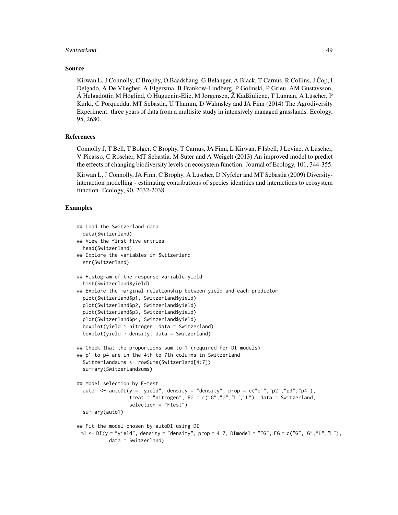### Switzerland 49

### Source

Kirwan L, J Connolly, C Brophy, O Baadshaug, G Belanger, A Black, T Carnus, R Collins, J Čop, I Delgado, A De Vliegher, A Elgersma, B Frankow-Lindberg, P Golinski, P Grieu, AM Gustavsson, Á Helgadóttir, M Höglind, O Huguenin-Elie, M Jørgensen, Ž Kadžiuliene, T Lunnan, A Lüscher, P Kurki, C Porqueddu, MT Sebastia, U Thumm, D Walmsley and JA Finn (2014) The Agrodiversity Experiment: three years of data from a multisite study in intensively managed grasslands. Ecology, 95, 2680.

### References

Connolly J, T Bell, T Bolger, C Brophy, T Carnus, JA Finn, L Kirwan, F Isbell, J Levine, A Lüscher, V Picasso, C Roscher, MT Sebastia, M Suter and A Weigelt (2013) An improved model to predict the effects of changing biodiversity levels on ecosystem function. Journal of Ecology, 101, 344-355.

Kirwan L, J Connolly, JA Finn, C Brophy, A Lüscher, D Nyfeler and MT Sebastia (2009) Diversityinteraction modelling - estimating contributions of species identities and interactions to ecosystem function. Ecology, 90, 2032-2038.

### Examples

```
## Load the Switzerland data
 data(Switzerland)
## View the first five entries
 head(Switzerland)
## Explore the variables in Switzerland
 str(Switzerland)
## Histogram of the response variable yield
 hist(Switzerland$yield)
## Explore the marginal relationship between yield and each predictor
 plot(Switzerland$p1, Switzerland$yield)
 plot(Switzerland$p2, Switzerland$yield)
 plot(Switzerland$p3, Switzerland$yield)
 plot(Switzerland$p4, Switzerland$yield)
 boxplot(yield \sim nitrogen, data = Switzerland)
 boxplot(yield \sim density, data = Switzerland)
## Check that the proportions sum to 1 (required for DI models)
## p1 to p4 are in the 4th to 7th columns in Switzerland
 Switzerlandsums <- rowSums(Switzerland[4:7])
 summary(Switzerlandsums)
## Model selection by F-test
 auto1 <- autoDI(y = "yield", density = "density", prop = c("p1", "p2", "p3", "p4"),
                  treat = "nitrogen", FG = c("G", "G", "L", "L"), data = Switzerland,selection = "Ftest")
 summary(auto1)
## Fit the model chosen by autoDI using DI
 m1 < -DI(y = "yield", density = "density", prop = 4:7, DIModel = "FG", FG = c("G", "G", "L", "L"),data = Switzerland)
```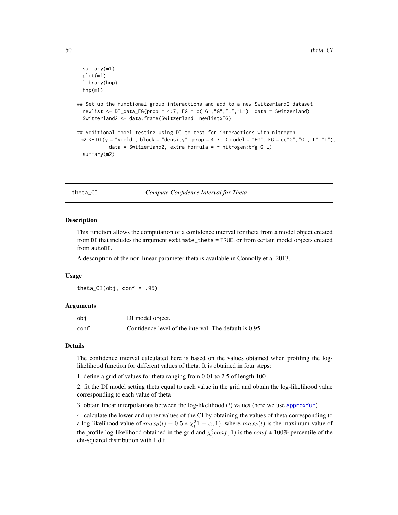```
summary(m1)
 plot(m1)
 library(hnp)
 hnp(m1)
## Set up the functional group interactions and add to a new Switzerland2 dataset
 newlist \leq DI_data_FG(prop = 4:7, FG = c("G","G","L","L"), data = Switzerland)
 Switzerland2 <- data.frame(Switzerland, newlist$FG)
## Additional model testing using DI to test for interactions with nitrogen
 m2 < -D I(y = "yield", block = "density", prop = 4:7, D I model = "FG", FG = c("G", "G", "L", "L", "Ldata = Switzerland2, extra-formula = ~nitrogen:bfg_GL)summary(m2)
```
<span id="page-49-1"></span>theta\_CI *Compute Confidence Interval for Theta*

### Description

This function allows the computation of a confidence interval for theta from a model object created from DI that includes the argument estimate\_theta = TRUE, or from certain model objects created from autoDI.

A description of the non-linear parameter theta is available in Connolly et al 2013.

### Usage

theta\_ $CI(obj, conf = .95)$ 

### Arguments

| obi  | DI model object.                                       |
|------|--------------------------------------------------------|
| conf | Confidence level of the interval. The default is 0.95. |

### Details

The confidence interval calculated here is based on the values obtained when profiling the loglikelihood function for different values of theta. It is obtained in four steps:

1. define a grid of values for theta ranging from 0.01 to 2.5 of length 100

2. fit the DI model setting theta equal to each value in the grid and obtain the log-likelihood value corresponding to each value of theta

3. obtain linear interpolations between the log-likelihood  $(l)$  values (here we use [approxfun](#page-0-0))

4. calculate the lower and upper values of the CI by obtaining the values of theta corresponding to a log-likelihood value of  $max_{\theta}(l) - 0.5 * \chi_l^2 - \alpha; 1$ , where  $max_{\theta}(l)$  is the maximum value of the profile log-likelihood obtained in the grid and  $\chi^2$  con $f$ ; 1) is the con $f * 100\%$  percentile of the chi-squared distribution with 1 d.f.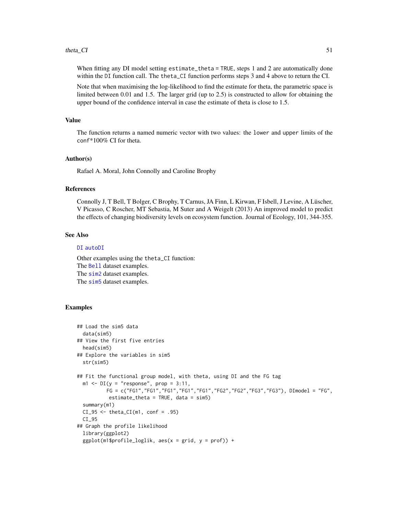### <span id="page-50-0"></span> $theta_C$ I 51

When fitting any DI model setting estimate\_theta = TRUE, steps 1 and 2 are automatically done within the DI function call. The theta\_CI function performs steps 3 and 4 above to return the CI.

Note that when maximising the log-likelihood to find the estimate for theta, the parametric space is limited between 0.01 and 1.5. The larger grid (up to 2.5) is constructed to allow for obtaining the upper bound of the confidence interval in case the estimate of theta is close to 1.5.

### Value

The function returns a named numeric vector with two values: the lower and upper limits of the conf\*100% CI for theta.

### Author(s)

Rafael A. Moral, John Connolly and Caroline Brophy

### References

Connolly J, T Bell, T Bolger, C Brophy, T Carnus, JA Finn, L Kirwan, F Isbell, J Levine, A Lüscher, V Picasso, C Roscher, MT Sebastia, M Suter and A Weigelt (2013) An improved model to predict the effects of changing biodiversity levels on ecosystem function. Journal of Ecology, 101, 344-355.

### See Also

### [DI](#page-17-1) [autoDI](#page-5-1)

Other examples using the theta\_CI function: The [Bell](#page-11-1) dataset examples. The [sim2](#page-31-1) dataset examples. The [sim5](#page-43-1) dataset examples.

### Examples

```
## Load the sim5 data
 data(sim5)
## View the first five entries
 head(sim5)
## Explore the variables in sim5
 str(sim5)
## Fit the functional group model, with theta, using DI and the FG tag
 m1 \leq -DI(y = "response", prop = 3:11,FG = c("FG1","FG1","FG1","FG1","FG1","FG2","FG2","FG3","FG3"), DImodel = "FG",
           estimate_theta = TRUE, data = sim5)
 summary(m1)
 CI_95 \leftarrow \text{theta_CI(m1, conf = .95)}CI_95
## Graph the profile likelihood
 library(ggplot2)
 ggplot(m1$profile_loglik, aes(x = grid, y = prof)) +
```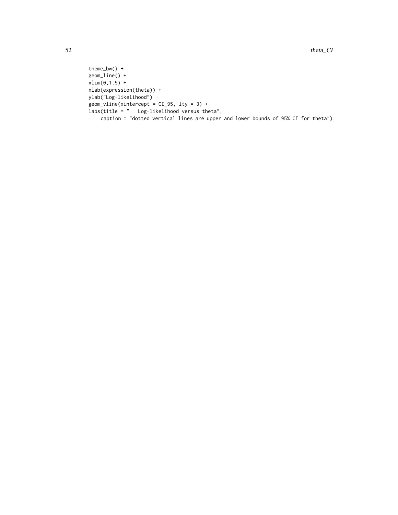```
theme_bw() +
geom_line() +
xlim(0,1.5) +
xlab(expression(theta)) +
ylab("Log-likelihood") +
geom_vline(xintercept = CI_95, lty = 3) +
labs(title = " Log-likelihood versus theta",
    caption = "dotted vertical lines are upper and lower bounds of 95% CI for theta")
```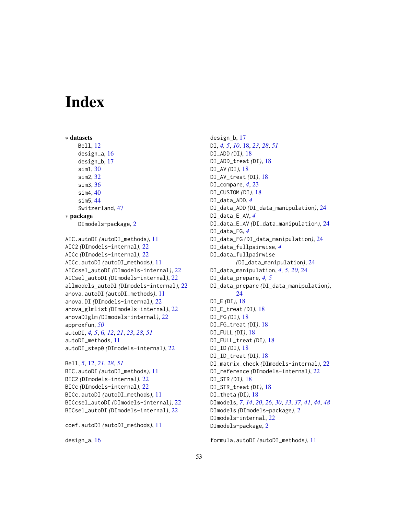# <span id="page-52-0"></span>Index

```
∗ datasets
    Bell, 12
    design_a, 16
    design_b, 17
    sim1, 30
    sim2, 32
    sim3, 36
    sim4, 40
    sim5, 44
    Switzerland, 47
∗ package
    DImodels-package, 2
AIC.autoDI (autoDI_methods), 11
AIC2 (DImodels-internal), 22
AICc (DImodels-internal), 22
AICc.autoDI (autoDI_methods), 11
AICcsel_autoDI (DImodels-internal), 22
AICsel_autoDI (DImodels-internal), 22
allmodels_autoDI (DImodels-internal), 22
anova.autoDI (autoDI_methods), 11
anova.DI (DImodels-internal), 22
anova_glmlist (DImodels-internal), 22
anovaDIglm (DImodels-internal), 22
approxfun, 50
autoDI, 4, 5, 6, 12, 21, 23, 28, 51
autoDI_methods, 11
autoDI_step0 (DImodels-internal), 22
```

```
Bell, 5, 12, 21, 28, 51
BIC.autoDI (autoDI_methods), 11
BIC2 (DImodels-internal), 22
BICc (DImodels-internal), 22
BICc.autoDI (autoDI_methods), 11
BICcsel_autoDI (DImodels-internal), 22
BICsel_autoDI (DImodels-internal), 22
```

```
coef.autoDI (autoDI_methods), 11
```

```
design_a, 16
```
design\_b, [17](#page-16-0) DI, *[4,](#page-3-0) [5](#page-4-0)*, *[10](#page-9-0)*, [18,](#page-17-0) *[23](#page-22-0)*, *[28](#page-27-0)*, *[51](#page-50-0)* DI\_ADD *(*DI*)*, [18](#page-17-0) DI\_ADD\_treat *(*DI*)*, [18](#page-17-0) DI\_AV *(*DI*)*, [18](#page-17-0) DI\_AV\_treat *(*DI*)*, [18](#page-17-0) DI\_compare, *[4](#page-3-0)*, [23](#page-22-0) DI\_CUSTOM *(*DI*)*, [18](#page-17-0) DI\_data\_ADD, *[4](#page-3-0)* DI\_data\_ADD *(*DI\_data\_manipulation*)*, [24](#page-23-0) DI\_data\_E\_AV, *[4](#page-3-0)* DI\_data\_E\_AV *(*DI\_data\_manipulation*)*, [24](#page-23-0) DI\_data\_FG, *[4](#page-3-0)* DI\_data\_FG *(*DI\_data\_manipulation*)*, [24](#page-23-0) DI\_data\_fullpairwise, *[4](#page-3-0)* DI\_data\_fullpairwise *(*DI\_data\_manipulation*)*, [24](#page-23-0) DI\_data\_manipulation, *[4,](#page-3-0) [5](#page-4-0)*, *[20](#page-19-0)*, [24](#page-23-0) DI\_data\_prepare, *[4,](#page-3-0) [5](#page-4-0)* DI\_data\_prepare *(*DI\_data\_manipulation*)*,  $24$ DI\_E *(*DI*)*, [18](#page-17-0) DI\_E\_treat *(*DI*)*, [18](#page-17-0) DI\_FG *(*DI*)*, [18](#page-17-0) DI\_FG\_treat *(*DI*)*, [18](#page-17-0) DI\_FULL *(*DI*)*, [18](#page-17-0) DI\_FULL\_treat *(*DI*)*, [18](#page-17-0) DI\_ID *(*DI*)*, [18](#page-17-0) DI\_ID\_treat *(*DI*)*, [18](#page-17-0) DI\_matrix\_check *(*DImodels-internal*)*, [22](#page-21-0) DI\_reference *(*DImodels-internal*)*, [22](#page-21-0) DI\_STR *(*DI*)*, [18](#page-17-0) DI\_STR\_treat *(*DI*)*, [18](#page-17-0) DI\_theta *(*DI*)*, [18](#page-17-0) DImodels, *[7](#page-6-0)*, *[14](#page-13-0)*, *[20](#page-19-0)*, *[26](#page-25-0)*, *[30](#page-29-0)*, *[33](#page-32-0)*, *[37](#page-36-0)*, *[41](#page-40-0)*, *[44](#page-43-0)*, *[48](#page-47-0)* DImodels *(*DImodels-package*)*, [2](#page-1-0) DImodels-internal, [22](#page-21-0) DImodels-package, [2](#page-1-0)

formula.autoDI *(*autoDI\_methods*)*, [11](#page-10-0)